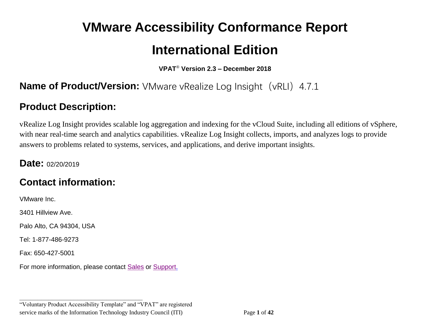# **VMware Accessibility Conformance Report International Edition**

**VPAT**® **Version 2.3 – December 2018**

## **Name of Product/Version:** VMware vRealize Log Insight (vRLI) 4.7.1

# **Product Description:**

vRealize Log Insight provides scalable log aggregation and indexing for the vCloud Suite, including all editions of vSphere, with near real-time search and analytics capabilities. vRealize Log Insight collects, imports, and analyzes logs to provide answers to problems related to systems, services, and applications, and derive important insights.

#### **Date:** 02/20/2019

# **Contact information:**

VMware Inc.

3401 Hillview Ave.

Palo Alto, CA 94304, USA

Tel: 1-877-486-9273

Fax: 650-427-5001

For more information, please contact [Sales](https://www.vmware.com/company/contact_sales.html) or [Support.](https://www.vmware.com/support/contacts.html)

**\_\_\_\_\_\_\_\_\_\_\_\_\_\_\_\_\_\_\_\_\_\_\_\_\_\_\_\_\_\_\_\_\_\_**

"Voluntary Product Accessibility Template" and "VPAT" are registered service marks of the Information Technology Industry Council (ITI) Page **1** of **42**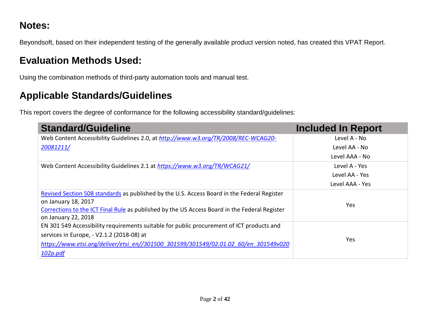# **Notes:**

Beyondsoft, based on their independent testing of the generally available product version noted, has created this VPAT Report.

# **Evaluation Methods Used:**

Using the combination methods of third-party automation tools and manual test.

# **Applicable Standards/Guidelines**

This report covers the degree of conformance for the following accessibility standard/guidelines:

| <b>Standard/Guideline</b>                                                                     | <b>Included In Report</b> |
|-----------------------------------------------------------------------------------------------|---------------------------|
| Web Content Accessibility Guidelines 2.0, at http://www.w3.org/TR/2008/REC-WCAG20-            | Level A - No              |
| 20081211/                                                                                     | Level AA - No             |
|                                                                                               | Level AAA - No            |
| Web Content Accessibility Guidelines 2.1 at https://www.w3.org/TR/WCAG21/                     | Level A - Yes             |
|                                                                                               | Level AA - Yes            |
|                                                                                               | Level AAA - Yes           |
| Revised Section 508 standards as published by the U.S. Access Board in the Federal Register   |                           |
| on January 18, 2017                                                                           | Yes                       |
| Corrections to the ICT Final Rule as published by the US Access Board in the Federal Register |                           |
| on January 22, 2018                                                                           |                           |
| EN 301 549 Accessibility requirements suitable for public procurement of ICT products and     |                           |
| services in Europe, - V2.1.2 (2018-08) at                                                     |                           |
| https://www.etsi.org/deliver/etsi_en//301500_301599/301549/02.01.02_60/en_301549v020          | Yes.                      |
| 102p.pdf                                                                                      |                           |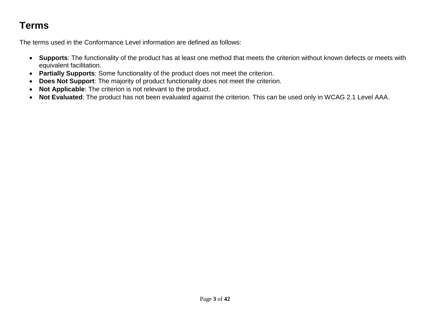# **Terms**

The terms used in the Conformance Level information are defined as follows:

- **Supports**: The functionality of the product has at least one method that meets the criterion without known defects or meets with equivalent facilitation.
- **Partially Supports**: Some functionality of the product does not meet the criterion.
- **Does Not Support**: The majority of product functionality does not meet the criterion.
- **Not Applicable**: The criterion is not relevant to the product.
- **Not Evaluated**: The product has not been evaluated against the criterion. This can be used only in WCAG 2.1 Level AAA.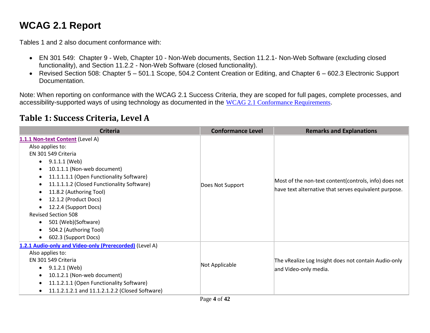# **WCAG 2.1 Report**

Tables 1 and 2 also document conformance with:

- EN 301 549: Chapter 9 Web, Chapter 10 Non-Web documents, Section 11.2.1- Non-Web Software (excluding closed functionality), and Section 11.2.2 - Non-Web Software (closed functionality).
- Revised Section 508: Chapter 5 501.1 Scope, 504.2 Content Creation or Editing, and Chapter 6 602.3 Electronic Support Documentation.

Note: When reporting on conformance with the WCAG 2.1 Success Criteria, they are scoped for full pages, complete processes, and accessibility-supported ways of using technology as documented in the WCAG [2.1 Conformance Requirements](https://www.w3.org/TR/WCAG21/#conformance).

#### **Table 1: Success Criteria, Level A**

| <b>Criteria</b>                                                                                                                                                                                                                                                                                                                                                                                                        | <b>Conformance Level</b> | <b>Remarks and Explanations</b>                                                                                |
|------------------------------------------------------------------------------------------------------------------------------------------------------------------------------------------------------------------------------------------------------------------------------------------------------------------------------------------------------------------------------------------------------------------------|--------------------------|----------------------------------------------------------------------------------------------------------------|
| 1.1.1 Non-text Content (Level A)<br>Also applies to:<br>EN 301 549 Criteria<br>9.1.1.1 (Web)<br>$\bullet$<br>10.1.1.1 (Non-web document)<br>11.1.1.1.1 (Open Functionality Software)<br>11.1.1.1.2 (Closed Functionality Software)<br>11.8.2 (Authoring Tool)<br>12.1.2 (Product Docs)<br>12.2.4 (Support Docs)<br><b>Revised Section 508</b><br>501 (Web)(Software)<br>504.2 (Authoring Tool)<br>602.3 (Support Docs) | Does Not Support         | Most of the non-text content(controls, info) does not<br>have text alternative that serves equivalent purpose. |
| 1.2.1 Audio-only and Video-only (Prerecorded) (Level A)<br>Also applies to:<br>EN 301 549 Criteria<br>9.1.2.1 (Web)<br>10.1.2.1 (Non-web document)<br>11.1.2.1.1 (Open Functionality Software)<br>$\bullet$<br>11.1.2.1.2.1 and 11.1.2.1.2.2 (Closed Software)                                                                                                                                                         | Not Applicable           | The vRealize Log Insight does not contain Audio-only<br>and Video-only media.                                  |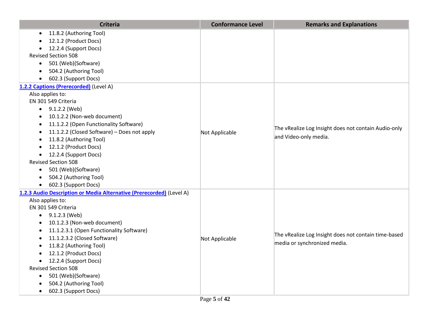| <b>Criteria</b>                                                      | <b>Conformance Level</b> | <b>Remarks and Explanations</b>                      |
|----------------------------------------------------------------------|--------------------------|------------------------------------------------------|
| 11.8.2 (Authoring Tool)<br>$\bullet$                                 |                          |                                                      |
| 12.1.2 (Product Docs)                                                |                          |                                                      |
| 12.2.4 (Support Docs)                                                |                          |                                                      |
| <b>Revised Section 508</b>                                           |                          |                                                      |
| 501 (Web)(Software)<br>$\bullet$                                     |                          |                                                      |
| 504.2 (Authoring Tool)                                               |                          |                                                      |
| 602.3 (Support Docs)                                                 |                          |                                                      |
| 1.2.2 Captions (Prerecorded) (Level A)                               |                          |                                                      |
| Also applies to:                                                     |                          |                                                      |
| EN 301 549 Criteria                                                  |                          |                                                      |
| $\bullet$ 9.1.2.2 (Web)                                              |                          |                                                      |
| 10.1.2.2 (Non-web document)                                          |                          |                                                      |
| 11.1.2.2 (Open Functionality Software)                               |                          | The vRealize Log Insight does not contain Audio-only |
| 11.1.2.2 (Closed Software) - Does not apply                          | Not Applicable           | and Video-only media.                                |
| 11.8.2 (Authoring Tool)                                              |                          |                                                      |
| 12.1.2 (Product Docs)                                                |                          |                                                      |
| 12.2.4 (Support Docs)<br>$\bullet$                                   |                          |                                                      |
| <b>Revised Section 508</b>                                           |                          |                                                      |
| 501 (Web)(Software)<br>$\bullet$                                     |                          |                                                      |
| 504.2 (Authoring Tool)                                               |                          |                                                      |
| 602.3 (Support Docs)                                                 |                          |                                                      |
| 1.2.3 Audio Description or Media Alternative (Prerecorded) (Level A) |                          |                                                      |
| Also applies to:                                                     |                          |                                                      |
| EN 301 549 Criteria                                                  |                          |                                                      |
| 9.1.2.3 (Web)                                                        |                          |                                                      |
| 10.1.2.3 (Non-web document)                                          |                          |                                                      |
| 11.1.2.3.1 (Open Functionality Software)                             |                          | The vRealize Log Insight does not contain time-based |
| 11.1.2.3.2 (Closed Software)                                         | Not Applicable           | media or synchronized media.                         |
| 11.8.2 (Authoring Tool)                                              |                          |                                                      |
| 12.1.2 (Product Docs)                                                |                          |                                                      |
| 12.2.4 (Support Docs)                                                |                          |                                                      |
| <b>Revised Section 508</b>                                           |                          |                                                      |
| 501 (Web)(Software)<br>$\bullet$                                     |                          |                                                      |
| 504.2 (Authoring Tool)                                               |                          |                                                      |
| 602.3 (Support Docs)<br>$\bullet$                                    |                          |                                                      |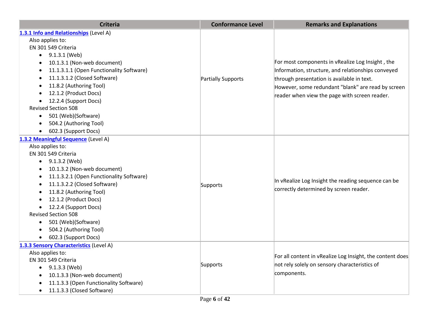| <b>Criteria</b>                                       | <b>Conformance Level</b> | <b>Remarks and Explanations</b>                           |
|-------------------------------------------------------|--------------------------|-----------------------------------------------------------|
| 1.3.1 Info and Relationships (Level A)                |                          |                                                           |
| Also applies to:                                      |                          |                                                           |
| EN 301 549 Criteria                                   |                          |                                                           |
| $\bullet$ 9.1.3.1 (Web)                               |                          |                                                           |
| 10.1.3.1 (Non-web document)<br>$\bullet$              |                          | For most components in vRealize Log Insight, the          |
| 11.1.3.1.1 (Open Functionality Software)              |                          | Information, structure, and relationships conveyed        |
| 11.1.3.1.2 (Closed Software)                          | Partially Supports       | through presentation is available in text.                |
| 11.8.2 (Authoring Tool)                               |                          | However, some redundant "blank" are read by screen        |
| 12.1.2 (Product Docs)                                 |                          | reader when view the page with screen reader.             |
| 12.2.4 (Support Docs)                                 |                          |                                                           |
| <b>Revised Section 508</b>                            |                          |                                                           |
| 501 (Web)(Software)<br>$\bullet$                      |                          |                                                           |
| 504.2 (Authoring Tool)<br>$\bullet$                   |                          |                                                           |
| 602.3 (Support Docs)<br>$\bullet$                     |                          |                                                           |
| 1.3.2 Meaningful Sequence (Level A)                   |                          |                                                           |
| Also applies to:                                      |                          |                                                           |
| EN 301 549 Criteria                                   |                          |                                                           |
| 9.1.3.2 (Web)<br>$\bullet$                            |                          |                                                           |
| 10.1.3.2 (Non-web document)                           |                          |                                                           |
| 11.1.3.2.1 (Open Functionality Software)<br>$\bullet$ |                          | In vRealize Log Insight the reading sequence can be       |
| 11.1.3.2.2 (Closed Software)<br>$\bullet$             | Supports                 |                                                           |
| 11.8.2 (Authoring Tool)                               |                          | correctly determined by screen reader.                    |
| 12.1.2 (Product Docs)                                 |                          |                                                           |
| 12.2.4 (Support Docs)                                 |                          |                                                           |
| <b>Revised Section 508</b>                            |                          |                                                           |
| 501 (Web)(Software)<br>$\bullet$                      |                          |                                                           |
| 504.2 (Authoring Tool)                                |                          |                                                           |
| 602.3 (Support Docs)<br>$\bullet$                     |                          |                                                           |
| 1.3.3 Sensory Characteristics (Level A)               |                          |                                                           |
| Also applies to:                                      |                          | For all content in vRealize Log Insight, the content does |
| EN 301 549 Criteria                                   | Supports                 | not rely solely on sensory characteristics of             |
| 9.1.3.3 (Web)<br>$\bullet$                            |                          |                                                           |
| 10.1.3.3 (Non-web document)<br>$\bullet$              |                          | components.                                               |
| 11.1.3.3 (Open Functionality Software)                |                          |                                                           |
| 11.1.3.3 (Closed Software)                            |                          |                                                           |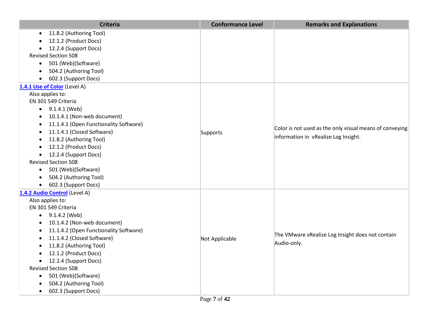| <b>Criteria</b>                         | <b>Conformance Level</b> | <b>Remarks and Explanations</b>                         |
|-----------------------------------------|--------------------------|---------------------------------------------------------|
| 11.8.2 (Authoring Tool)                 |                          |                                                         |
| 12.1.2 (Product Docs)                   |                          |                                                         |
| 12.2.4 (Support Docs)                   |                          |                                                         |
| <b>Revised Section 508</b>              |                          |                                                         |
| 501 (Web)(Software)<br>$\bullet$        |                          |                                                         |
| 504.2 (Authoring Tool)                  |                          |                                                         |
| 602.3 (Support Docs)                    |                          |                                                         |
| 1.4.1 Use of Color (Level A)            |                          |                                                         |
| Also applies to:                        |                          |                                                         |
| EN 301 549 Criteria                     |                          |                                                         |
| $\bullet$ 9.1.4.1 (Web)                 |                          |                                                         |
| 10.1.4.1 (Non-web document)             |                          |                                                         |
| 11.1.4.1 (Open Functionality Software)  |                          | Color is not used as the only visual means of conveying |
| 11.1.4.1 (Closed Software)<br>$\bullet$ | Supports                 |                                                         |
| 11.8.2 (Authoring Tool)<br>$\bullet$    |                          | information in vRealize Log Insight.                    |
| 12.1.2 (Product Docs)<br>$\bullet$      |                          |                                                         |
| 12.2.4 (Support Docs)<br>$\bullet$      |                          |                                                         |
| <b>Revised Section 508</b>              |                          |                                                         |
| 501 (Web)(Software)<br>$\bullet$        |                          |                                                         |
| 504.2 (Authoring Tool)<br>$\bullet$     |                          |                                                         |
| 602.3 (Support Docs)<br>$\bullet$       |                          |                                                         |
| 1.4.2 Audio Control (Level A)           |                          |                                                         |
| Also applies to:                        |                          |                                                         |
| EN 301 549 Criteria                     |                          |                                                         |
| 9.1.4.2 (Web)<br>$\bullet$              |                          |                                                         |
| 10.1.4.2 (Non-web document)             |                          |                                                         |
| 11.1.4.2 (Open Functionality Software)  |                          | The VMware vRealize Log Insight does not contain        |
| 11.1.4.2 (Closed Software)              | Not Applicable           | Audio-only.                                             |
| 11.8.2 (Authoring Tool)                 |                          |                                                         |
| 12.1.2 (Product Docs)                   |                          |                                                         |
| 12.2.4 (Support Docs)<br>$\bullet$      |                          |                                                         |
| <b>Revised Section 508</b>              |                          |                                                         |
| 501 (Web)(Software)<br>$\bullet$        |                          |                                                         |
| 504.2 (Authoring Tool)                  |                          |                                                         |
| 602.3 (Support Docs)<br>$\bullet$       |                          |                                                         |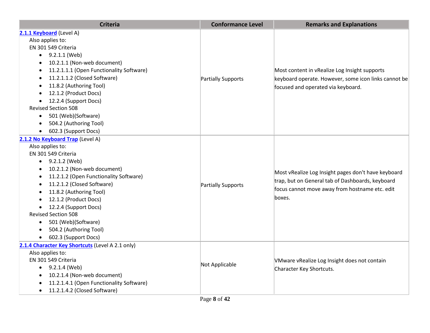| <b>Criteria</b>                                       | <b>Conformance Level</b> | <b>Remarks and Explanations</b>                                                                                                                                     |
|-------------------------------------------------------|--------------------------|---------------------------------------------------------------------------------------------------------------------------------------------------------------------|
| 2.1.1 Keyboard (Level A)                              |                          |                                                                                                                                                                     |
| Also applies to:                                      |                          |                                                                                                                                                                     |
| EN 301 549 Criteria                                   |                          |                                                                                                                                                                     |
| $\bullet$ 9.2.1.1 (Web)                               |                          |                                                                                                                                                                     |
| 10.2.1.1 (Non-web document)<br>$\bullet$              |                          |                                                                                                                                                                     |
| 11.2.1.1.1 (Open Functionality Software)<br>$\bullet$ |                          | Most content in vRealize Log Insight supports                                                                                                                       |
| 11.2.1.1.2 (Closed Software)<br>٠                     | Partially Supports       | keyboard operate. However, some icon links cannot be                                                                                                                |
| 11.8.2 (Authoring Tool)<br>٠                          |                          | focused and operated via keyboard.                                                                                                                                  |
| 12.1.2 (Product Docs)                                 |                          |                                                                                                                                                                     |
| 12.2.4 (Support Docs)                                 |                          |                                                                                                                                                                     |
| <b>Revised Section 508</b>                            |                          |                                                                                                                                                                     |
| 501 (Web)(Software)<br>$\bullet$                      |                          |                                                                                                                                                                     |
| 504.2 (Authoring Tool)<br>$\bullet$                   |                          |                                                                                                                                                                     |
| 602.3 (Support Docs)<br>$\bullet$                     |                          |                                                                                                                                                                     |
| 2.1.2 No Keyboard Trap (Level A)                      |                          |                                                                                                                                                                     |
| Also applies to:                                      |                          | Most vRealize Log Insight pages don't have keyboard<br>trap, but on General tab of Dashboards, keyboard<br>focus cannot move away from hostname etc. edit<br>boxes. |
| EN 301 549 Criteria                                   |                          |                                                                                                                                                                     |
| 9.2.1.2 (Web)<br>$\bullet$                            |                          |                                                                                                                                                                     |
| 10.2.1.2 (Non-web document)<br>٠                      |                          |                                                                                                                                                                     |
| 11.2.1.2 (Open Functionality Software)<br>٠           |                          |                                                                                                                                                                     |
| 11.2.1.2 (Closed Software)<br>$\bullet$               | Partially Supports       |                                                                                                                                                                     |
| 11.8.2 (Authoring Tool)                               |                          |                                                                                                                                                                     |
| 12.1.2 (Product Docs)                                 |                          |                                                                                                                                                                     |
| 12.2.4 (Support Docs)                                 |                          |                                                                                                                                                                     |
| <b>Revised Section 508</b>                            |                          |                                                                                                                                                                     |
| 501 (Web)(Software)<br>$\bullet$                      |                          |                                                                                                                                                                     |
| 504.2 (Authoring Tool)<br>$\bullet$                   |                          |                                                                                                                                                                     |
| 602.3 (Support Docs)<br>$\bullet$                     |                          |                                                                                                                                                                     |
| 2.1.4 Character Key Shortcuts (Level A 2.1 only)      |                          |                                                                                                                                                                     |
| Also applies to:                                      |                          |                                                                                                                                                                     |
| EN 301 549 Criteria                                   | Not Applicable           | VMware vRealize Log Insight does not contain                                                                                                                        |
| 9.2.1.4 (Web)<br>$\bullet$                            |                          | Character Key Shortcuts.                                                                                                                                            |
| 10.2.1.4 (Non-web document)<br>$\bullet$              |                          |                                                                                                                                                                     |
| 11.2.1.4.1 (Open Functionality Software)              |                          |                                                                                                                                                                     |
| 11.2.1.4.2 (Closed Software)<br>$\bullet$             |                          |                                                                                                                                                                     |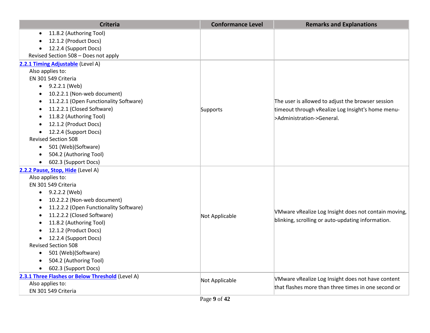| <b>Criteria</b>                                  | <b>Conformance Level</b> | <b>Remarks and Explanations</b>                      |
|--------------------------------------------------|--------------------------|------------------------------------------------------|
| 11.8.2 (Authoring Tool)                          |                          |                                                      |
| 12.1.2 (Product Docs)                            |                          |                                                      |
| 12.2.4 (Support Docs)<br>$\bullet$               |                          |                                                      |
| Revised Section 508 - Does not apply             |                          |                                                      |
| 2.2.1 Timing Adjustable (Level A)                |                          |                                                      |
| Also applies to:                                 |                          |                                                      |
| EN 301 549 Criteria                              |                          |                                                      |
| 9.2.2.1 (Web)                                    |                          |                                                      |
| 10.2.2.1 (Non-web document)                      |                          |                                                      |
| 11.2.2.1 (Open Functionality Software)           |                          | The user is allowed to adjust the browser session    |
| 11.2.2.1 (Closed Software)                       | Supports                 | timeout through vRealize Log Insight's home menu-    |
| 11.8.2 (Authoring Tool)                          |                          | >Administration->General.                            |
| 12.1.2 (Product Docs)                            |                          |                                                      |
| 12.2.4 (Support Docs)                            |                          |                                                      |
| <b>Revised Section 508</b>                       |                          |                                                      |
| 501 (Web)(Software)<br>$\bullet$                 |                          |                                                      |
| 504.2 (Authoring Tool)                           |                          |                                                      |
| 602.3 (Support Docs)                             |                          |                                                      |
| 2.2.2 Pause, Stop, Hide (Level A)                |                          |                                                      |
| Also applies to:                                 |                          |                                                      |
| EN 301 549 Criteria                              |                          |                                                      |
| $\bullet$ 9.2.2.2 (Web)                          |                          |                                                      |
| 10.2.2.2 (Non-web document)                      |                          |                                                      |
| 11.2.2.2 (Open Functionality Software)           |                          | VMware vRealize Log Insight does not contain moving, |
| 11.2.2.2 (Closed Software)                       | Not Applicable           |                                                      |
| 11.8.2 (Authoring Tool)                          |                          | blinking, scrolling or auto-updating information.    |
| 12.1.2 (Product Docs)                            |                          |                                                      |
| 12.2.4 (Support Docs)                            |                          |                                                      |
| <b>Revised Section 508</b>                       |                          |                                                      |
| 501 (Web)(Software)                              |                          |                                                      |
| 504.2 (Authoring Tool)                           |                          |                                                      |
| 602.3 (Support Docs)                             |                          |                                                      |
| 2.3.1 Three Flashes or Below Threshold (Level A) | Not Applicable           | VMware vRealize Log Insight does not have content    |
| Also applies to:                                 |                          | that flashes more than three times in one second or  |
| EN 301 549 Criteria                              |                          |                                                      |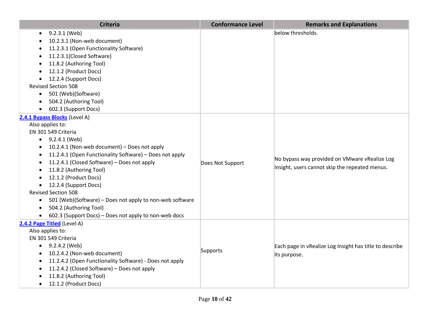| <b>Criteria</b>                                                       | <b>Conformance Level</b> | <b>Remarks and Explanations</b>                         |
|-----------------------------------------------------------------------|--------------------------|---------------------------------------------------------|
| 9.2.3.1 (Web)                                                         |                          | below thresholds.                                       |
| 10.2.3.1 (Non-web document)                                           |                          |                                                         |
| 11.2.3.1 (Open Functionality Software)                                |                          |                                                         |
| 11.2.3.1(Closed Software)                                             |                          |                                                         |
| 11.8.2 (Authoring Tool)                                               |                          |                                                         |
| 12.1.2 (Product Docs)                                                 |                          |                                                         |
| 12.2.4 (Support Docs)                                                 |                          |                                                         |
| <b>Revised Section 508</b>                                            |                          |                                                         |
| • 501 (Web)(Software)                                                 |                          |                                                         |
| 504.2 (Authoring Tool)                                                |                          |                                                         |
| 602.3 (Support Docs)<br>$\bullet$                                     |                          |                                                         |
| 2.4.1 Bypass Blocks (Level A)                                         |                          |                                                         |
| Also applies to:                                                      |                          |                                                         |
| EN 301 549 Criteria                                                   |                          |                                                         |
| $\bullet$ 9.2.4.1 (Web)                                               |                          |                                                         |
| 10.2.4.1 (Non-web document) - Does not apply<br>$\bullet$             |                          |                                                         |
| 11.2.4.1 (Open Functionality Software) - Does not apply<br>$\bullet$  |                          | No bypass way provided on VMware vRealize Log           |
| 11.2.4.1 (Closed Software) - Does not apply                           | Does Not Support         | Insight, users cannot skip the repeated menus.          |
| 11.8.2 (Authoring Tool)                                               |                          |                                                         |
| 12.1.2 (Product Docs)                                                 |                          |                                                         |
| 12.2.4 (Support Docs)<br>$\bullet$                                    |                          |                                                         |
| <b>Revised Section 508</b>                                            |                          |                                                         |
| 501 (Web)(Software) - Does not apply to non-web software<br>$\bullet$ |                          |                                                         |
| 504.2 (Authoring Tool)<br>$\bullet$                                   |                          |                                                         |
| 602.3 (Support Docs) - Does not apply to non-web docs<br>$\bullet$    |                          |                                                         |
| 2.4.2 Page Titled (Level A)<br>Also applies to:                       |                          |                                                         |
| EN 301 549 Criteria                                                   |                          |                                                         |
| $\bullet$ 9.2.4.2 (Web)                                               |                          |                                                         |
| 10.2.4.2 (Non-web document)                                           | Supports                 | Each page in vRealize Log Insight has title to describe |
| 11.2.4.2 (Open Functionality Software) - Does not apply<br>$\bullet$  |                          | its purpose.                                            |
| 11.2.4.2 (Closed Software) - Does not apply                           |                          |                                                         |
| 11.8.2 (Authoring Tool)                                               |                          |                                                         |
| 12.1.2 (Product Docs)<br>$\bullet$                                    |                          |                                                         |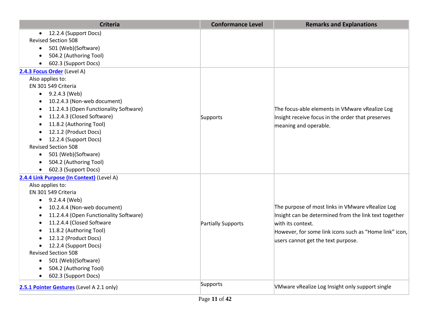| <b>Criteria</b>                                     | <b>Conformance Level</b> | <b>Remarks and Explanations</b>                        |
|-----------------------------------------------------|--------------------------|--------------------------------------------------------|
| • 12.2.4 (Support Docs)                             |                          |                                                        |
| <b>Revised Section 508</b>                          |                          |                                                        |
| 501 (Web)(Software)<br>$\bullet$                    |                          |                                                        |
| 504.2 (Authoring Tool)<br>$\bullet$                 |                          |                                                        |
| 602.3 (Support Docs)                                |                          |                                                        |
| 2.4.3 Focus Order (Level A)                         |                          |                                                        |
| Also applies to:                                    |                          |                                                        |
| EN 301 549 Criteria                                 |                          |                                                        |
| $\bullet$ 9.2.4.3 (Web)                             |                          |                                                        |
| 10.2.4.3 (Non-web document)                         |                          |                                                        |
| 11.2.4.3 (Open Functionality Software)              |                          | The focus-able elements in VMware vRealize Log         |
| 11.2.4.3 (Closed Software)                          | Supports                 | Insight receive focus in the order that preserves      |
| 11.8.2 (Authoring Tool)                             |                          | meaning and operable.                                  |
| 12.1.2 (Product Docs)<br>$\bullet$                  |                          |                                                        |
| 12.2.4 (Support Docs)<br>$\bullet$                  |                          |                                                        |
| <b>Revised Section 508</b>                          |                          |                                                        |
| • 501 (Web)(Software)                               |                          |                                                        |
| 504.2 (Authoring Tool)                              |                          |                                                        |
| 602.3 (Support Docs)                                |                          |                                                        |
| 2.4.4 Link Purpose (In Context) (Level A)           |                          |                                                        |
| Also applies to:                                    |                          |                                                        |
| EN 301 549 Criteria                                 |                          |                                                        |
| $\bullet$ 9.2.4.4 (Web)                             |                          |                                                        |
| 10.2.4.4 (Non-web document)<br>$\bullet$            |                          | The purpose of most links in VMware vRealize Log       |
| 11.2.4.4 (Open Functionality Software)<br>$\bullet$ |                          | Insight can be determined from the link text together  |
| 11.2.4.4 (Closed Software<br>$\bullet$              | Partially Supports       | with its context.                                      |
| 11.8.2 (Authoring Tool)                             |                          | However, for some link icons such as "Home link" icon, |
| 12.1.2 (Product Docs)<br>$\bullet$                  |                          | users cannot get the text purpose.                     |
| 12.2.4 (Support Docs)<br>$\bullet$                  |                          |                                                        |
| <b>Revised Section 508</b>                          |                          |                                                        |
| 501 (Web)(Software)<br>$\bullet$                    |                          |                                                        |
| 504.2 (Authoring Tool)                              |                          |                                                        |
| 602.3 (Support Docs)<br>$\bullet$                   |                          |                                                        |
| 2.5.1 Pointer Gestures (Level A 2.1 only)           | Supports                 | VMware vRealize Log Insight only support single        |
|                                                     | Page 11 of 42            |                                                        |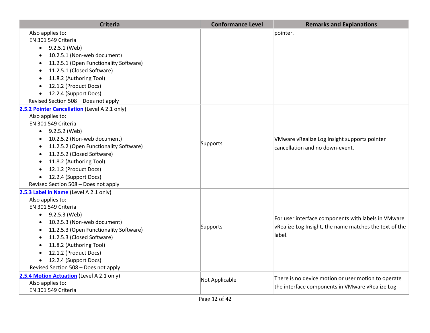| <b>Criteria</b>                                                                                                                                                                                                                                                                                                                                                                                     | <b>Conformance Level</b> | <b>Remarks and Explanations</b>                                                                                         |
|-----------------------------------------------------------------------------------------------------------------------------------------------------------------------------------------------------------------------------------------------------------------------------------------------------------------------------------------------------------------------------------------------------|--------------------------|-------------------------------------------------------------------------------------------------------------------------|
| Also applies to:<br>EN 301 549 Criteria<br>$\bullet$ 9.2.5.1 (Web)<br>10.2.5.1 (Non-web document)<br>$\bullet$<br>11.2.5.1 (Open Functionality Software)<br>$\bullet$<br>11.2.5.1 (Closed Software)<br>$\bullet$<br>11.8.2 (Authoring Tool)<br>12.1.2 (Product Docs)<br>12.2.4 (Support Docs)<br>Revised Section 508 - Does not apply                                                               |                          | pointer.                                                                                                                |
| 2.5.2 Pointer Cancellation (Level A 2.1 only)<br>Also applies to:<br>EN 301 549 Criteria<br>$\bullet$ 9.2.5.2 (Web)<br>10.2.5.2 (Non-web document)<br>11.2.5.2 (Open Functionality Software)<br>$\bullet$<br>11.2.5.2 (Closed Software)<br>$\bullet$<br>11.8.2 (Authoring Tool)<br>12.1.2 (Product Docs)<br>$\bullet$<br>12.2.4 (Support Docs)<br>$\bullet$<br>Revised Section 508 - Does not apply | Supports                 | VMware vRealize Log Insight supports pointer<br>cancellation and no down-event.                                         |
| 2.5.3 Label in Name (Level A 2.1 only)<br>Also applies to:<br>EN 301 549 Criteria<br>$\bullet$ 9.2.5.3 (Web)<br>10.2.5.3 (Non-web document)<br>$\bullet$<br>11.2.5.3 (Open Functionality Software)<br>11.2.5.3 (Closed Software)<br>11.8.2 (Authoring Tool)<br>12.1.2 (Product Docs)<br>12.2.4 (Support Docs)<br>Revised Section 508 - Does not apply                                               | Supports                 | For user interface components with labels in VMware<br>vRealize Log Insight, the name matches the text of the<br>label. |
| 2.5.4 Motion Actuation (Level A 2.1 only)<br>Also applies to:<br>EN 301 549 Criteria                                                                                                                                                                                                                                                                                                                | Not Applicable           | There is no device motion or user motion to operate<br>the interface components in VMware vRealize Log                  |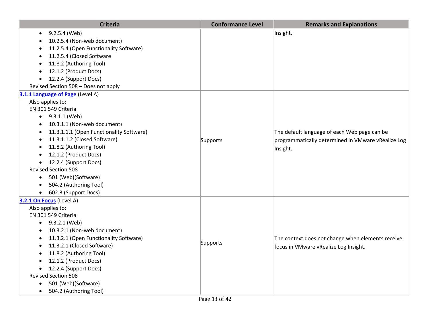| <b>Criteria</b>                                       | <b>Conformance Level</b> | <b>Remarks and Explanations</b>                    |
|-------------------------------------------------------|--------------------------|----------------------------------------------------|
| 9.2.5.4 (Web)<br>$\bullet$                            |                          | Insight.                                           |
| 10.2.5.4 (Non-web document)                           |                          |                                                    |
| 11.2.5.4 (Open Functionality Software)                |                          |                                                    |
| 11.2.5.4 (Closed Software                             |                          |                                                    |
| 11.8.2 (Authoring Tool)                               |                          |                                                    |
| 12.1.2 (Product Docs)                                 |                          |                                                    |
| 12.2.4 (Support Docs)                                 |                          |                                                    |
| Revised Section 508 - Does not apply                  |                          |                                                    |
| 3.1.1 Language of Page (Level A)                      |                          |                                                    |
| Also applies to:                                      |                          |                                                    |
| EN 301 549 Criteria                                   |                          |                                                    |
| $\bullet$ 9.3.1.1 (Web)                               |                          |                                                    |
| 10.3.1.1 (Non-web document)                           |                          |                                                    |
| 11.3.1.1.1 (Open Functionality Software)<br>$\bullet$ |                          | The default language of each Web page can be       |
| 11.3.1.1.2 (Closed Software)<br>$\bullet$             | Supports                 | programmatically determined in VMware vRealize Log |
| 11.8.2 (Authoring Tool)<br>$\bullet$                  |                          | Insight.                                           |
| 12.1.2 (Product Docs)<br>$\bullet$                    |                          |                                                    |
| 12.2.4 (Support Docs)<br>$\bullet$                    |                          |                                                    |
| <b>Revised Section 508</b>                            |                          |                                                    |
| • 501 (Web)(Software)                                 |                          |                                                    |
| 504.2 (Authoring Tool)                                |                          |                                                    |
| • 602.3 (Support Docs)                                |                          |                                                    |
| 3.2.1 On Focus (Level A)                              |                          |                                                    |
| Also applies to:                                      |                          |                                                    |
| EN 301 549 Criteria                                   |                          |                                                    |
| 9.3.2.1 (Web)                                         |                          |                                                    |
| 10.3.2.1 (Non-web document)                           |                          |                                                    |
| 11.3.2.1 (Open Functionality Software)                | Supports                 | The context does not change when elements receive  |
| 11.3.2.1 (Closed Software)                            |                          | focus in VMware vRealize Log Insight.              |
| 11.8.2 (Authoring Tool)                               |                          |                                                    |
| 12.1.2 (Product Docs)                                 |                          |                                                    |
| 12.2.4 (Support Docs)<br>$\bullet$                    |                          |                                                    |
| <b>Revised Section 508</b>                            |                          |                                                    |
| 501 (Web)(Software)<br>$\bullet$                      |                          |                                                    |
| 504.2 (Authoring Tool)<br>$\bullet$                   |                          |                                                    |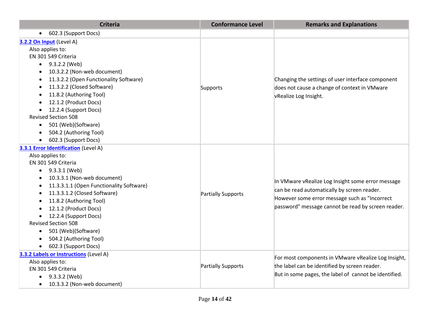| <b>Criteria</b>                                                                                                                                                                                                                                                                                                                                                                                                                                                                                              | <b>Conformance Level</b>  | <b>Remarks and Explanations</b>                                                                                                                                                                         |
|--------------------------------------------------------------------------------------------------------------------------------------------------------------------------------------------------------------------------------------------------------------------------------------------------------------------------------------------------------------------------------------------------------------------------------------------------------------------------------------------------------------|---------------------------|---------------------------------------------------------------------------------------------------------------------------------------------------------------------------------------------------------|
| 602.3 (Support Docs)<br>$\bullet$                                                                                                                                                                                                                                                                                                                                                                                                                                                                            |                           |                                                                                                                                                                                                         |
| 3.2.2 On Input (Level A)<br>Also applies to:<br>EN 301 549 Criteria<br>$\bullet$ 9.3.2.2 (Web)<br>10.3.2.2 (Non-web document)<br>11.3.2.2 (Open Functionality Software)<br>11.3.2.2 (Closed Software)<br>11.8.2 (Authoring Tool)<br>12.1.2 (Product Docs)<br>12.2.4 (Support Docs)<br>$\bullet$<br><b>Revised Section 508</b><br>501 (Web)(Software)<br>$\bullet$<br>504.2 (Authoring Tool)<br>$\bullet$                                                                                                     | Supports                  | Changing the settings of user interface component<br>does not cause a change of context in VMware<br>vRealize Log Insight.                                                                              |
| 602.3 (Support Docs)<br>$\bullet$<br><b>3.3.1 Error Identification (Level A)</b><br>Also applies to:<br>EN 301 549 Criteria<br>9.3.3.1 (Web)<br>$\bullet$<br>10.3.3.1 (Non-web document)<br>$\bullet$<br>11.3.3.1.1 (Open Functionality Software)<br>11.3.3.1.2 (Closed Software)<br>$\bullet$<br>11.8.2 (Authoring Tool)<br>12.1.2 (Product Docs)<br>12.2.4 (Support Docs)<br><b>Revised Section 508</b><br>501 (Web)(Software)<br>$\bullet$<br>504.2 (Authoring Tool)<br>602.3 (Support Docs)<br>$\bullet$ | <b>Partially Supports</b> | In VMware vRealize Log Insight some error message<br>can be read automatically by screen reader.<br>However some error message such as "Incorrect<br>password" message cannot be read by screen reader. |
| 3.3.2 Labels or Instructions (Level A)<br>Also applies to:<br>EN 301 549 Criteria<br>9.3.3.2 (Web)<br>10.3.3.2 (Non-web document)                                                                                                                                                                                                                                                                                                                                                                            | <b>Partially Supports</b> | For most components in VMware vRealize Log Insight,<br>the label can be identified by screen reader.<br>But in some pages, the label of cannot be identified.                                           |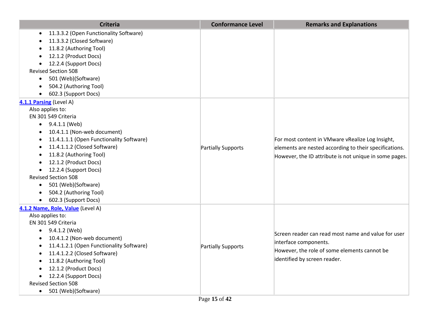| <b>Criteria</b>                                       | <b>Conformance Level</b> | <b>Remarks and Explanations</b>                                                                                                                                      |
|-------------------------------------------------------|--------------------------|----------------------------------------------------------------------------------------------------------------------------------------------------------------------|
| 11.3.3.2 (Open Functionality Software)<br>$\bullet$   |                          |                                                                                                                                                                      |
| 11.3.3.2 (Closed Software)                            |                          |                                                                                                                                                                      |
| 11.8.2 (Authoring Tool)                               |                          |                                                                                                                                                                      |
| 12.1.2 (Product Docs)                                 |                          |                                                                                                                                                                      |
| 12.2.4 (Support Docs)                                 |                          |                                                                                                                                                                      |
| <b>Revised Section 508</b>                            |                          |                                                                                                                                                                      |
| 501 (Web)(Software)<br>$\bullet$                      |                          |                                                                                                                                                                      |
| 504.2 (Authoring Tool)                                |                          |                                                                                                                                                                      |
| 602.3 (Support Docs)<br>$\bullet$                     |                          |                                                                                                                                                                      |
| 4.1.1 Parsing (Level A)                               |                          |                                                                                                                                                                      |
| Also applies to:                                      |                          |                                                                                                                                                                      |
| EN 301 549 Criteria                                   |                          |                                                                                                                                                                      |
| $\bullet$ 9.4.1.1 (Web)                               |                          |                                                                                                                                                                      |
| 10.4.1.1 (Non-web document)<br>$\bullet$              |                          | For most content in VMware vRealize Log Insight,<br>elements are nested according to their specifications.<br>However, the ID attribute is not unique in some pages. |
| 11.4.1.1.1 (Open Functionality Software)<br>$\bullet$ |                          |                                                                                                                                                                      |
| 11.4.1.1.2 (Closed Software)                          | Partially Supports       |                                                                                                                                                                      |
| 11.8.2 (Authoring Tool)                               |                          |                                                                                                                                                                      |
| 12.1.2 (Product Docs)                                 |                          |                                                                                                                                                                      |
| 12.2.4 (Support Docs)<br>$\bullet$                    |                          |                                                                                                                                                                      |
| <b>Revised Section 508</b>                            |                          |                                                                                                                                                                      |
| • 501 (Web)(Software)                                 |                          |                                                                                                                                                                      |
| 504.2 (Authoring Tool)                                |                          |                                                                                                                                                                      |
| • 602.3 (Support Docs)                                |                          |                                                                                                                                                                      |
| 4.1.2 Name, Role, Value (Level A)                     |                          |                                                                                                                                                                      |
| Also applies to:                                      |                          |                                                                                                                                                                      |
| EN 301 549 Criteria                                   |                          |                                                                                                                                                                      |
| 9.4.1.2 (Web)                                         |                          | Screen reader can read most name and value for user                                                                                                                  |
| 10.4.1.2 (Non-web document)                           |                          | interface components.                                                                                                                                                |
| 11.4.1.2.1 (Open Functionality Software)              | Partially Supports       | However, the role of some elements cannot be                                                                                                                         |
| 11.4.1.2.2 (Closed Software)                          |                          |                                                                                                                                                                      |
| 11.8.2 (Authoring Tool)                               |                          | identified by screen reader.                                                                                                                                         |
| 12.1.2 (Product Docs)                                 |                          |                                                                                                                                                                      |
| 12.2.4 (Support Docs)                                 |                          |                                                                                                                                                                      |
| <b>Revised Section 508</b>                            |                          |                                                                                                                                                                      |
| 501 (Web)(Software)<br>$\bullet$                      |                          |                                                                                                                                                                      |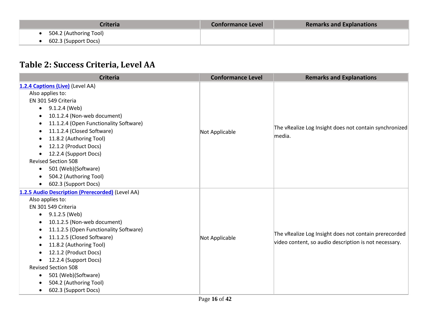| <b>Criteria</b>        | <b>Conformance Level</b> | <b>Remarks and Explanations</b> |
|------------------------|--------------------------|---------------------------------|
| 504.2 (Authoring Tool) |                          |                                 |
| 602.3 (Support Docs)   |                          |                                 |

# **Table 2: Success Criteria, Level AA**

| <b>Criteria</b>                                  | <b>Conformance Level</b> | <b>Remarks and Explanations</b>                        |
|--------------------------------------------------|--------------------------|--------------------------------------------------------|
| 1.2.4 Captions (Live) (Level AA)                 |                          |                                                        |
| Also applies to:                                 |                          |                                                        |
| EN 301 549 Criteria                              |                          |                                                        |
| 9.1.2.4 (Web)<br>$\bullet$                       |                          |                                                        |
| 10.1.2.4 (Non-web document)                      |                          |                                                        |
| 11.1.2.4 (Open Functionality Software)           |                          |                                                        |
| 11.1.2.4 (Closed Software)                       | Not Applicable           | The vRealize Log Insight does not contain synchronized |
| 11.8.2 (Authoring Tool)                          |                          | media.                                                 |
| 12.1.2 (Product Docs)                            |                          |                                                        |
| 12.2.4 (Support Docs)                            |                          |                                                        |
| <b>Revised Section 508</b>                       |                          |                                                        |
| 501 (Web)(Software)<br>$\bullet$                 |                          |                                                        |
| 504.2 (Authoring Tool)                           |                          |                                                        |
| 602.3 (Support Docs)<br>$\bullet$                |                          |                                                        |
| 1.2.5 Audio Description (Prerecorded) (Level AA) |                          |                                                        |
| Also applies to:                                 |                          |                                                        |
| EN 301 549 Criteria                              |                          |                                                        |
| 9.1.2.5 (Web)<br>$\bullet$                       |                          |                                                        |
| 10.1.2.5 (Non-web document)                      |                          |                                                        |
| 11.1.2.5 (Open Functionality Software)           |                          | The vRealize Log Insight does not contain prerecorded  |
| 11.1.2.5 (Closed Software)<br>$\bullet$          | Not Applicable           |                                                        |
| 11.8.2 (Authoring Tool)                          |                          | video content, so audio description is not necessary.  |
| 12.1.2 (Product Docs)                            |                          |                                                        |
| 12.2.4 (Support Docs)                            |                          |                                                        |
| <b>Revised Section 508</b>                       |                          |                                                        |
| 501 (Web)(Software)<br>$\bullet$                 |                          |                                                        |
| 504.2 (Authoring Tool)                           |                          |                                                        |
| 602.3 (Support Docs)<br>$\bullet$                |                          |                                                        |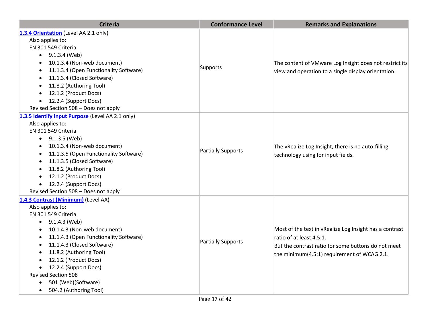| <b>Criteria</b>                                  | <b>Conformance Level</b> | <b>Remarks and Explanations</b>                                                          |
|--------------------------------------------------|--------------------------|------------------------------------------------------------------------------------------|
| 1.3.4 Orientation (Level AA 2.1 only)            |                          |                                                                                          |
| Also applies to:                                 |                          |                                                                                          |
| EN 301 549 Criteria                              |                          |                                                                                          |
| $\bullet$ 9.1.3.4 (Web)                          |                          |                                                                                          |
| 10.1.3.4 (Non-web document)<br>$\bullet$         |                          | The content of VMware Log Insight does not restrict its                                  |
| 11.1.3.4 (Open Functionality Software)           | Supports                 | view and operation to a single display orientation.                                      |
| 11.1.3.4 (Closed Software)                       |                          |                                                                                          |
| 11.8.2 (Authoring Tool)                          |                          |                                                                                          |
| 12.1.2 (Product Docs)                            |                          |                                                                                          |
| 12.2.4 (Support Docs)                            |                          |                                                                                          |
| Revised Section 508 - Does not apply             |                          |                                                                                          |
| 1.3.5 Identify Input Purpose (Level AA 2.1 only) |                          |                                                                                          |
| Also applies to:                                 |                          | The vRealize Log Insight, there is no auto-filling<br>technology using for input fields. |
| EN 301 549 Criteria                              |                          |                                                                                          |
| 9.1.3.5 (Web)<br>$\bullet$                       |                          |                                                                                          |
| 10.1.3.4 (Non-web document)                      |                          |                                                                                          |
| 11.1.3.5 (Open Functionality Software)           | Partially Supports       |                                                                                          |
| 11.1.3.5 (Closed Software)                       |                          |                                                                                          |
| 11.8.2 (Authoring Tool)                          |                          |                                                                                          |
| 12.1.2 (Product Docs)                            |                          |                                                                                          |
| 12.2.4 (Support Docs)                            |                          |                                                                                          |
| Revised Section 508 - Does not apply             |                          |                                                                                          |
| 1.4.3 Contrast (Minimum) (Level AA)              |                          |                                                                                          |
| Also applies to:                                 |                          |                                                                                          |
| EN 301 549 Criteria                              |                          |                                                                                          |
| 9.1.4.3 (Web)                                    |                          |                                                                                          |
| 10.1.4.3 (Non-web document)                      |                          | Most of the text in vRealize Log Insight has a contrast                                  |
| 11.1.4.3 (Open Functionality Software)           | Partially Supports       | ratio of at least 4.5:1.                                                                 |
| 11.1.4.3 (Closed Software)                       |                          | But the contrast ratio for some buttons do not meet                                      |
| 11.8.2 (Authoring Tool)                          |                          | the minimum(4.5:1) requirement of WCAG 2.1.                                              |
| 12.1.2 (Product Docs)                            |                          |                                                                                          |
| 12.2.4 (Support Docs)                            |                          |                                                                                          |
| <b>Revised Section 508</b>                       |                          |                                                                                          |
| 501 (Web)(Software)                              |                          |                                                                                          |
| 504.2 (Authoring Tool)                           |                          |                                                                                          |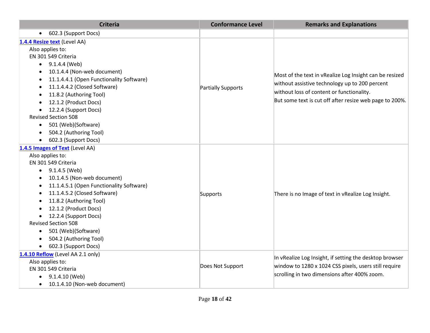| <b>Criteria</b>                           | <b>Conformance Level</b> | <b>Remarks and Explanations</b>                         |
|-------------------------------------------|--------------------------|---------------------------------------------------------|
| 602.3 (Support Docs)<br>$\bullet$         |                          |                                                         |
| 1.4.4 Resize text (Level AA)              |                          |                                                         |
| Also applies to:                          |                          |                                                         |
| EN 301 549 Criteria                       |                          |                                                         |
| $\bullet$ 9.1.4.4 (Web)                   |                          |                                                         |
| 10.1.4.4 (Non-web document)               |                          | Most of the text in vRealize Log Insight can be resized |
| 11.1.4.4.1 (Open Functionality Software)  |                          |                                                         |
| 11.1.4.4.2 (Closed Software)              | Partially Supports       | without assistive technology up to 200 percent          |
| 11.8.2 (Authoring Tool)                   |                          | without loss of content or functionality.               |
| 12.1.2 (Product Docs)                     |                          | But some text is cut off after resize web page to 200%. |
| 12.2.4 (Support Docs)<br>$\bullet$        |                          |                                                         |
| <b>Revised Section 508</b>                |                          |                                                         |
| 501 (Web)(Software)<br>$\bullet$          |                          |                                                         |
| 504.2 (Authoring Tool)<br>$\bullet$       |                          |                                                         |
| 602.3 (Support Docs)<br>$\bullet$         |                          |                                                         |
| 1.4.5 Images of Text (Level AA)           |                          |                                                         |
| Also applies to:                          |                          |                                                         |
| EN 301 549 Criteria                       |                          |                                                         |
| 9.1.4.5 (Web)<br>$\bullet$                |                          |                                                         |
| 10.1.4.5 (Non-web document)<br>$\bullet$  |                          |                                                         |
| 11.1.4.5.1 (Open Functionality Software)  |                          |                                                         |
| 11.1.4.5.2 (Closed Software)<br>$\bullet$ | Supports                 | There is no Image of text in vRealize Log Insight.      |
| 11.8.2 (Authoring Tool)                   |                          |                                                         |
| 12.1.2 (Product Docs)                     |                          |                                                         |
| 12.2.4 (Support Docs)<br>$\bullet$        |                          |                                                         |
| <b>Revised Section 508</b>                |                          |                                                         |
| 501 (Web)(Software)<br>$\bullet$          |                          |                                                         |
| 504.2 (Authoring Tool)                    |                          |                                                         |
| 602.3 (Support Docs)<br>$\bullet$         |                          |                                                         |
| 1.4.10 Reflow (Level AA 2.1 only)         |                          | In vRealize Log Insight, if setting the desktop browser |
| Also applies to:                          | Does Not Support         | window to 1280 x 1024 CSS pixels, users still require   |
| EN 301 549 Criteria                       |                          |                                                         |
| 9.1.4.10 (Web)<br>$\bullet$               |                          | scrolling in two dimensions after 400% zoom.            |
| 10.1.4.10 (Non-web document)<br>$\bullet$ |                          |                                                         |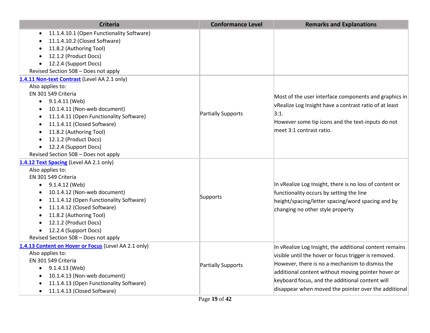| <b>Criteria</b>                                      | <b>Conformance Level</b> | <b>Remarks and Explanations</b>                         |
|------------------------------------------------------|--------------------------|---------------------------------------------------------|
| 11.1.4.10.1 (Open Functionality Software)            |                          |                                                         |
| 11.1.4.10.2 (Closed Software)                        |                          |                                                         |
| 11.8.2 (Authoring Tool)                              |                          |                                                         |
| 12.1.2 (Product Docs)                                |                          |                                                         |
| 12.2.4 (Support Docs)<br>$\bullet$                   |                          |                                                         |
| Revised Section 508 - Does not apply                 |                          |                                                         |
| 1.4.11 Non-text Contrast (Level AA 2.1 only)         |                          |                                                         |
| Also applies to:                                     |                          |                                                         |
| EN 301 549 Criteria                                  |                          | Most of the user interface components and graphics in   |
| 9.1.4.11 (Web)<br>$\bullet$                          |                          | vRealize Log Insight have a contrast ratio of at least  |
| 10.1.4.11 (Non-web document)<br>$\bullet$            |                          | 3:1.                                                    |
| 11.1.4.11 (Open Functionality Software)<br>$\bullet$ | Partially Supports       |                                                         |
| 11.1.4.11 (Closed Software)<br>$\bullet$             |                          | However some tip icons and the text-inputs do not       |
| 11.8.2 (Authoring Tool)<br>$\bullet$                 |                          | meet 3:1 contrast ratio.                                |
| 12.1.2 (Product Docs)<br>$\bullet$                   |                          |                                                         |
| 12.2.4 (Support Docs)<br>$\bullet$                   |                          |                                                         |
| Revised Section 508 - Does not apply                 |                          |                                                         |
| 1.4.12 Text Spacing (Level AA 2.1 only)              |                          |                                                         |
| Also applies to:                                     |                          |                                                         |
| EN 301 549 Criteria                                  |                          |                                                         |
| $\bullet$ 9.1.4.12 (Web)                             |                          | In vRealize Log Insight, there is no loss of content or |
| 10.1.4.12 (Non-web document)                         |                          | functionality occurs by setting the line                |
| 11.1.4.12 (Open Functionality Software)              | Supports                 | height/spacing/letter spacing/word spacing and by       |
| 11.1.4.12 (Closed Software)                          |                          | changing no other style property                        |
| 11.8.2 (Authoring Tool)                              |                          |                                                         |
| 12.1.2 (Product Docs)                                |                          |                                                         |
| 12.2.4 (Support Docs)<br>$\bullet$                   |                          |                                                         |
| Revised Section 508 - Does not apply                 |                          |                                                         |
| 1.4.13 Content on Hover or Focus (Level AA 2.1 only) |                          | In vRealize Log Insight, the additional content remains |
| Also applies to:                                     |                          | visible until the hover or focus trigger is removed.    |
| EN 301 549 Criteria                                  | Partially Supports       | However, there is no a mechanism to dismiss the         |
| 9.1.4.13 (Web)<br>$\bullet$                          |                          | additional content without moving pointer hover or      |
| 10.1.4.13 (Non-web document)                         |                          | keyboard focus, and the additional content will         |
| 11.1.4.13 (Open Functionality Software)              |                          |                                                         |
| 11.1.4.13 (Closed Software)<br>$\bullet$             |                          | disappear when moved the pointer over the additional    |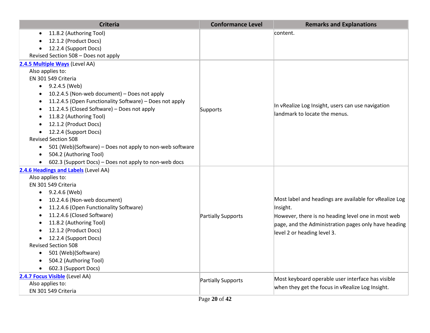| <b>Criteria</b>                                                       | <b>Conformance Level</b> | <b>Remarks and Explanations</b>                        |
|-----------------------------------------------------------------------|--------------------------|--------------------------------------------------------|
| 11.8.2 (Authoring Tool)                                               |                          | content.                                               |
| 12.1.2 (Product Docs)                                                 |                          |                                                        |
| 12.2.4 (Support Docs)<br>$\bullet$                                    |                          |                                                        |
| Revised Section 508 - Does not apply                                  |                          |                                                        |
| 2.4.5 Multiple Ways (Level AA)                                        |                          |                                                        |
| Also applies to:                                                      |                          |                                                        |
| EN 301 549 Criteria                                                   |                          |                                                        |
| 9.2.4.5 (Web)                                                         |                          |                                                        |
| 10.2.4.5 (Non-web document) - Does not apply                          |                          |                                                        |
| 11.2.4.5 (Open Functionality Software) - Does not apply               |                          |                                                        |
| 11.2.4.5 (Closed Software) - Does not apply                           | Supports                 | In vRealize Log Insight, users can use navigation      |
| 11.8.2 (Authoring Tool)                                               |                          | landmark to locate the menus.                          |
| 12.1.2 (Product Docs)                                                 |                          |                                                        |
| 12.2.4 (Support Docs)                                                 |                          |                                                        |
| <b>Revised Section 508</b>                                            |                          |                                                        |
| 501 (Web)(Software) - Does not apply to non-web software<br>$\bullet$ |                          |                                                        |
| 504.2 (Authoring Tool)                                                |                          |                                                        |
| 602.3 (Support Docs) - Does not apply to non-web docs                 |                          |                                                        |
| 2.4.6 Headings and Labels (Level AA)                                  |                          |                                                        |
| Also applies to:                                                      |                          |                                                        |
| EN 301 549 Criteria                                                   |                          |                                                        |
| $\bullet$ 9.2.4.6 (Web)                                               |                          |                                                        |
| 10.2.4.6 (Non-web document)                                           |                          | Most label and headings are available for vRealize Log |
| 11.2.4.6 (Open Functionality Software)                                |                          | Insight.                                               |
| 11.2.4.6 (Closed Software)                                            | Partially Supports       | However, there is no heading level one in most web     |
| 11.8.2 (Authoring Tool)                                               |                          | page, and the Administration pages only have heading   |
| 12.1.2 (Product Docs)                                                 |                          | level 2 or heading level 3.                            |
| 12.2.4 (Support Docs)                                                 |                          |                                                        |
| <b>Revised Section 508</b>                                            |                          |                                                        |
| 501 (Web)(Software)                                                   |                          |                                                        |
| 504.2 (Authoring Tool)                                                |                          |                                                        |
| 602.3 (Support Docs)                                                  |                          |                                                        |
| 2.4.7 Focus Visible (Level AA)                                        | Partially Supports       | Most keyboard operable user interface has visible      |
| Also applies to:                                                      |                          | when they get the focus in vRealize Log Insight.       |
| EN 301 549 Criteria                                                   |                          |                                                        |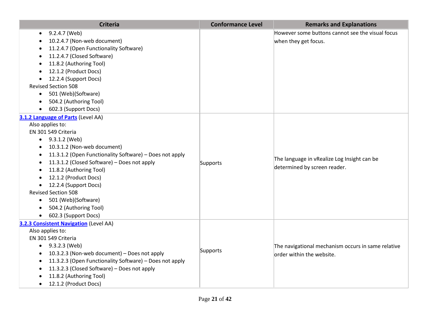| <b>Criteria</b>                                         | <b>Conformance Level</b> | <b>Remarks and Explanations</b>                                             |
|---------------------------------------------------------|--------------------------|-----------------------------------------------------------------------------|
| 9.2.4.7 (Web)                                           |                          | However some buttons cannot see the visual focus                            |
| 10.2.4.7 (Non-web document)                             |                          | when they get focus.                                                        |
| 11.2.4.7 (Open Functionality Software)                  |                          |                                                                             |
| 11.2.4.7 (Closed Software)                              |                          |                                                                             |
| 11.8.2 (Authoring Tool)                                 |                          |                                                                             |
| 12.1.2 (Product Docs)                                   |                          |                                                                             |
| 12.2.4 (Support Docs)                                   |                          |                                                                             |
| <b>Revised Section 508</b>                              |                          |                                                                             |
| 501 (Web)(Software)<br>$\bullet$                        |                          |                                                                             |
| 504.2 (Authoring Tool)                                  |                          |                                                                             |
| 602.3 (Support Docs)                                    |                          |                                                                             |
| 3.1.2 Language of Parts (Level AA)                      |                          |                                                                             |
| Also applies to:                                        |                          |                                                                             |
| EN 301 549 Criteria                                     |                          |                                                                             |
| $\bullet$ 9.3.1.2 (Web)                                 |                          |                                                                             |
| 10.3.1.2 (Non-web document)<br>$\bullet$                |                          |                                                                             |
| 11.3.1.2 (Open Functionality Software) - Does not apply |                          | The language in vRealize Log Insight can be<br>determined by screen reader. |
| 11.3.1.2 (Closed Software) - Does not apply             | Supports                 |                                                                             |
| 11.8.2 (Authoring Tool)                                 |                          |                                                                             |
| 12.1.2 (Product Docs)                                   |                          |                                                                             |
| 12.2.4 (Support Docs)                                   |                          |                                                                             |
| <b>Revised Section 508</b>                              |                          |                                                                             |
| 501 (Web)(Software)<br>$\bullet$                        |                          |                                                                             |
| 504.2 (Authoring Tool)<br>$\bullet$                     |                          |                                                                             |
| 602.3 (Support Docs)<br>$\bullet$                       |                          |                                                                             |
| 3.2.3 Consistent Navigation (Level AA)                  |                          |                                                                             |
| Also applies to:                                        |                          |                                                                             |
| EN 301 549 Criteria                                     |                          |                                                                             |
| 9.3.2.3 (Web)                                           | Supports                 | The navigational mechanism occurs in same relative                          |
| 10.3.2.3 (Non-web document) - Does not apply            |                          | order within the website.                                                   |
| 11.3.2.3 (Open Functionality Software) - Does not apply |                          |                                                                             |
| 11.3.2.3 (Closed Software) - Does not apply             |                          |                                                                             |
| 11.8.2 (Authoring Tool)                                 |                          |                                                                             |
| 12.1.2 (Product Docs)<br>$\bullet$                      |                          |                                                                             |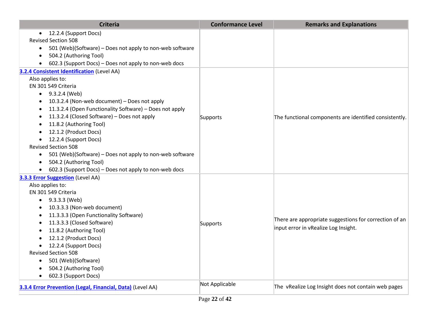| <b>Criteria</b>                                                                                                                                                                                                                                                                                                                                                                                                                                               | <b>Conformance Level</b> | <b>Remarks and Explanations</b>                                                                |
|---------------------------------------------------------------------------------------------------------------------------------------------------------------------------------------------------------------------------------------------------------------------------------------------------------------------------------------------------------------------------------------------------------------------------------------------------------------|--------------------------|------------------------------------------------------------------------------------------------|
| • 12.2.4 (Support Docs)<br><b>Revised Section 508</b><br>501 (Web)(Software) – Does not apply to non-web software<br>$\bullet$<br>504.2 (Authoring Tool)<br>602.3 (Support Docs) - Does not apply to non-web docs                                                                                                                                                                                                                                             |                          |                                                                                                |
| <b>3.2.4 Consistent Identification (Level AA)</b>                                                                                                                                                                                                                                                                                                                                                                                                             |                          |                                                                                                |
| Also applies to:<br>EN 301 549 Criteria<br>$-9.3.2.4$ (Web)<br>10.3.2.4 (Non-web document) - Does not apply<br>11.3.2.4 (Open Functionality Software) - Does not apply<br>11.3.2.4 (Closed Software) - Does not apply<br>11.8.2 (Authoring Tool)<br>12.1.2 (Product Docs)<br>12.2.4 (Support Docs)<br>$\bullet$<br><b>Revised Section 508</b><br>501 (Web)(Software) - Does not apply to non-web software<br>$\bullet$<br>504.2 (Authoring Tool)<br>$\bullet$ | Supports                 | The functional components are identified consistently.                                         |
| 602.3 (Support Docs) - Does not apply to non-web docs                                                                                                                                                                                                                                                                                                                                                                                                         |                          |                                                                                                |
| <b>3.3.3 Error Suggestion</b> (Level AA)<br>Also applies to:<br>EN 301 549 Criteria<br>$\bullet$ 9.3.3.3 (Web)<br>10.3.3.3 (Non-web document)<br>11.3.3.3 (Open Functionality Software)<br>11.3.3.3 (Closed Software)<br>11.8.2 (Authoring Tool)<br>12.1.2 (Product Docs)<br>12.2.4 (Support Docs)<br><b>Revised Section 508</b><br>501 (Web)(Software)<br>$\bullet$<br>504.2 (Authoring Tool)<br>602.3 (Support Docs)                                        | Supports                 | There are appropriate suggestions for correction of an<br>input error in vRealize Log Insight. |
| 3.3.4 Error Prevention (Legal, Financial, Data) (Level AA)                                                                                                                                                                                                                                                                                                                                                                                                    | Not Applicable           | The vRealize Log Insight does not contain web pages                                            |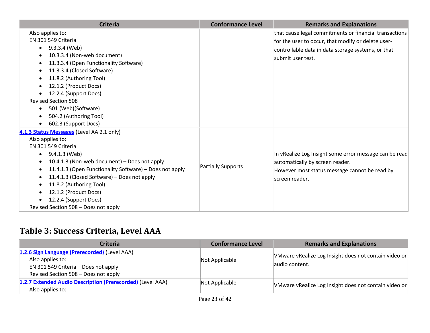| <b>Criteria</b>                                         | <b>Conformance Level</b> | <b>Remarks and Explanations</b>                        |
|---------------------------------------------------------|--------------------------|--------------------------------------------------------|
| Also applies to:                                        |                          | that cause legal commitments or financial transactions |
| EN 301 549 Criteria                                     |                          | for the user to occur, that modify or delete user-     |
| 9.3.3.4 (Web)<br>$\bullet$                              |                          | controllable data in data storage systems, or that     |
| 10.3.3.4 (Non-web document)                             |                          | lsubmit user test.                                     |
| 11.3.3.4 (Open Functionality Software)                  |                          |                                                        |
| 11.3.3.4 (Closed Software)                              |                          |                                                        |
| 11.8.2 (Authoring Tool)                                 |                          |                                                        |
| 12.1.2 (Product Docs)                                   |                          |                                                        |
| 12.2.4 (Support Docs)                                   |                          |                                                        |
| <b>Revised Section 508</b>                              |                          |                                                        |
| 501 (Web)(Software)                                     |                          |                                                        |
| 504.2 (Authoring Tool)                                  |                          |                                                        |
| 602.3 (Support Docs)                                    |                          |                                                        |
| 4.1.3 Status Messages (Level AA 2.1 only)               |                          |                                                        |
| Also applies to:                                        |                          |                                                        |
| EN 301 549 Criteria                                     |                          |                                                        |
| 9.4.1.3 (Web)<br>$\bullet$                              |                          | In vRealize Log Insight some error message can be read |
| 10.4.1.3 (Non-web document) - Does not apply            |                          | automatically by screen reader.                        |
| 11.4.1.3 (Open Functionality Software) - Does not apply | Partially Supports       | However most status message cannot be read by          |
| 11.4.1.3 (Closed Software) - Does not apply             |                          | screen reader.                                         |
| 11.8.2 (Authoring Tool)                                 |                          |                                                        |
| 12.1.2 (Product Docs)                                   |                          |                                                        |
| 12.2.4 (Support Docs)                                   |                          |                                                        |
| Revised Section 508 - Does not apply                    |                          |                                                        |

## **Table 3: Success Criteria, Level AAA**

| <b>Criteria</b>                                                                                                                                   | <b>Conformance Level</b> | <b>Remarks and Explanations</b>                                          |
|---------------------------------------------------------------------------------------------------------------------------------------------------|--------------------------|--------------------------------------------------------------------------|
| 1.2.6 Sign Language (Prerecorded) (Level AAA)<br>Also applies to:<br>EN 301 549 Criteria - Does not apply<br>Revised Section 508 - Does not apply | Not Applicable           | VMware vRealize Log Insight does not contain video or<br>laudio content. |
| 1.2.7 Extended Audio Description (Prerecorded) (Level AAA)<br>Also applies to:                                                                    | Not Applicable           | VMware vRealize Log Insight does not contain video or                    |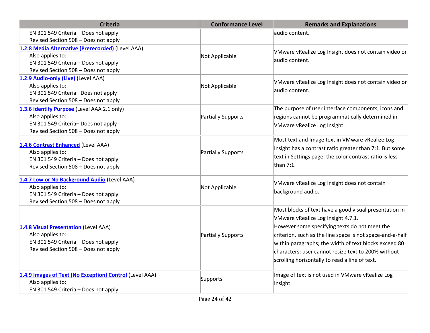| <b>Criteria</b>                                         | <b>Conformance Level</b> | <b>Remarks and Explanations</b>                           |
|---------------------------------------------------------|--------------------------|-----------------------------------------------------------|
| EN 301 549 Criteria - Does not apply                    |                          | audio content.                                            |
| Revised Section 508 - Does not apply                    |                          |                                                           |
| 1.2.8 Media Alternative (Prerecorded) (Level AAA)       |                          | VMware vRealize Log Insight does not contain video or     |
| Also applies to:                                        | Not Applicable           | audio content.                                            |
| EN 301 549 Criteria - Does not apply                    |                          |                                                           |
| Revised Section 508 - Does not apply                    |                          |                                                           |
| 1.2.9 Audio-only (Live) (Level AAA)                     |                          | VMware vRealize Log Insight does not contain video or     |
| Also applies to:                                        | Not Applicable           | audio content.                                            |
| EN 301 549 Criteria-Does not apply                      |                          |                                                           |
| Revised Section 508 - Does not apply                    |                          |                                                           |
| 1.3.6 Identify Purpose (Level AAA 2.1 only)             |                          | The purpose of user interface components, icons and       |
| Also applies to:                                        | Partially Supports       | regions cannot be programmatically determined in          |
| EN 301 549 Criteria-Does not apply                      |                          | VMware vRealize Log Insight.                              |
| Revised Section 508 - Does not apply                    |                          |                                                           |
|                                                         |                          | Most text and Image text in VMware vRealize Log           |
| 1.4.6 Contrast Enhanced (Level AAA)                     |                          | Insight has a contrast ratio greater than 7:1. But some   |
| Also applies to:                                        | Partially Supports       | text in Settings page, the color contrast ratio is less   |
| EN 301 549 Criteria - Does not apply                    |                          | than $7:1$ .                                              |
| Revised Section 508 - Does not apply                    |                          |                                                           |
| 1.4.7 Low or No Background Audio (Level AAA)            |                          |                                                           |
| Also applies to:                                        | Not Applicable           | VMware vRealize Log Insight does not contain              |
| EN 301 549 Criteria - Does not apply                    |                          | background audio.                                         |
| Revised Section 508 - Does not apply                    |                          |                                                           |
|                                                         |                          | Most blocks of text have a good visual presentation in    |
|                                                         |                          | VMware vRealize Log Insight 4.7.1.                        |
| 1.4.8 Visual Presentation (Level AAA)                   |                          | However some specifying texts do not meet the             |
| Also applies to:                                        | Partially Supports       | criterion, such as the line space is not space-and-a-half |
| EN 301 549 Criteria - Does not apply                    |                          | within paragraphs; the width of text blocks exceed 80     |
| Revised Section 508 - Does not apply                    |                          |                                                           |
|                                                         |                          | characters; user cannot resize text to 200% without       |
|                                                         |                          | scrolling horizontally to read a line of text.            |
| 1.4.9 Images of Text (No Exception) Control (Level AAA) |                          | Image of text is not used in VMware vRealize Log          |
| Also applies to:                                        | Supports                 | Insight                                                   |
| EN 301 549 Criteria - Does not apply                    |                          |                                                           |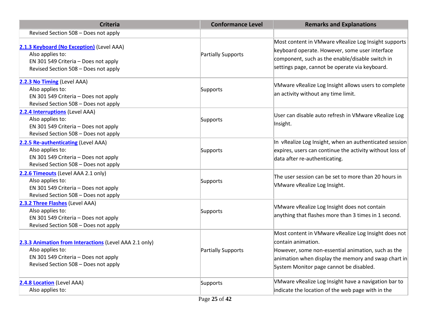| <b>Criteria</b>                                                                                                                                            | <b>Conformance Level</b>                    | <b>Remarks and Explanations</b>                                                                                                                                                                                                    |
|------------------------------------------------------------------------------------------------------------------------------------------------------------|---------------------------------------------|------------------------------------------------------------------------------------------------------------------------------------------------------------------------------------------------------------------------------------|
| Revised Section 508 - Does not apply                                                                                                                       |                                             |                                                                                                                                                                                                                                    |
| 2.1.3 Keyboard (No Exception) (Level AAA)<br>Also applies to:<br>EN 301 549 Criteria - Does not apply<br>Revised Section 508 - Does not apply              | Partially Supports                          | Most content in VMware vRealize Log Insight supports<br>keyboard operate. However, some user interface<br>component, such as the enable/disable switch in<br>settings page, cannot be operate via keyboard.                        |
| 2.2.3 No Timing (Level AAA)<br>Also applies to:<br>EN 301 549 Criteria - Does not apply<br>Revised Section 508 - Does not apply                            | Supports                                    | VMware vRealize Log Insight allows users to complete<br>an activity without any time limit.                                                                                                                                        |
| 2.2.4 Interruptions (Level AAA)<br>Also applies to:<br>EN 301 549 Criteria - Does not apply<br>Revised Section 508 - Does not apply                        | Supports                                    | User can disable auto refresh in VMware vRealize Log<br>Insight.                                                                                                                                                                   |
| 2.2.5 Re-authenticating (Level AAA)<br>Also applies to:<br>EN 301 549 Criteria - Does not apply<br>Revised Section 508 - Does not apply                    | Supports                                    | In vRealize Log Insight, when an authenticated session<br>expires, users can continue the activity without loss of<br>data after re-authenticating.                                                                                |
| 2.2.6 Timeouts (Level AAA 2.1 only)<br>Also applies to:<br>EN 301 549 Criteria - Does not apply<br>Revised Section 508 - Does not apply                    | Supports                                    | The user session can be set to more than 20 hours in<br>VMware vRealize Log Insight.                                                                                                                                               |
| 2.3.2 Three Flashes (Level AAA)<br>Also applies to:<br>EN 301 549 Criteria - Does not apply<br>Revised Section 508 - Does not apply                        | Supports                                    | VMware vRealize Log Insight does not contain<br>anything that flashes more than 3 times in 1 second.                                                                                                                               |
| 2.3.3 Animation from Interactions (Level AAA 2.1 only)<br>Also applies to:<br>EN 301 549 Criteria - Does not apply<br>Revised Section 508 - Does not apply | Partially Supports                          | Most content in VMware vRealize Log Insight does not<br>contain animation.<br>However, some non-essential animation, such as the<br>animation when display the memory and swap chart in<br>System Monitor page cannot be disabled. |
| 2.4.8 Location (Level AAA)<br>Also applies to:                                                                                                             | Supports<br>$\bullet$ = $\bullet$ $\bullet$ | VMware vRealize Log Insight have a navigation bar to<br>indicate the location of the web page with in the                                                                                                                          |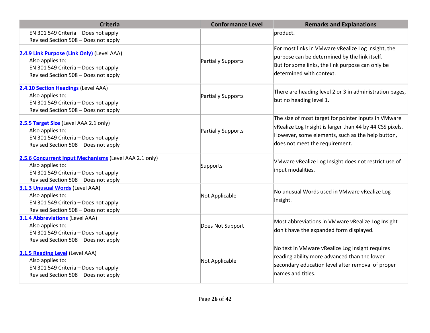| <b>Criteria</b>                                                                                                                                            | <b>Conformance Level</b> | <b>Remarks and Explanations</b>                                                                                                                                                                        |
|------------------------------------------------------------------------------------------------------------------------------------------------------------|--------------------------|--------------------------------------------------------------------------------------------------------------------------------------------------------------------------------------------------------|
| EN 301 549 Criteria - Does not apply<br>Revised Section 508 - Does not apply                                                                               |                          | product.                                                                                                                                                                                               |
| 2.4.9 Link Purpose (Link Only) (Level AAA)<br>Also applies to:<br>EN 301 549 Criteria - Does not apply<br>Revised Section 508 - Does not apply             | Partially Supports       | For most links in VMware vRealize Log Insight, the<br>purpose can be determined by the link itself.<br>But for some links, the link purpose can only be<br>determined with context.                    |
| 2.4.10 Section Headings (Level AAA)<br>Also applies to:<br>EN 301 549 Criteria - Does not apply<br>Revised Section 508 - Does not apply                    | Partially Supports       | There are heading level 2 or 3 in administration pages,<br>but no heading level 1.                                                                                                                     |
| 2.5.5 Target Size (Level AAA 2.1 only)<br>Also applies to:<br>EN 301 549 Criteria - Does not apply<br>Revised Section 508 - Does not apply                 | Partially Supports       | The size of most target for pointer inputs in VMware<br>vRealize Log Insight is larger than 44 by 44 CSS pixels.<br>However, some elements, such as the help button,<br>does not meet the requirement. |
| 2.5.6 Concurrent Input Mechanisms (Level AAA 2.1 only)<br>Also applies to:<br>EN 301 549 Criteria - Does not apply<br>Revised Section 508 - Does not apply | Supports                 | VMware vRealize Log Insight does not restrict use of<br>input modalities.                                                                                                                              |
| 3.1.3 Unusual Words (Level AAA)<br>Also applies to:<br>EN 301 549 Criteria - Does not apply<br>Revised Section 508 - Does not apply                        | Not Applicable           | No unusual Words used in VMware vRealize Log<br>Insight.                                                                                                                                               |
| <b>3.1.4 Abbreviations (Level AAA)</b><br>Also applies to:<br>EN 301 549 Criteria - Does not apply<br>Revised Section 508 - Does not apply                 | Does Not Support         | Most abbreviations in VMware vRealize Log Insight<br>don't have the expanded form displayed.                                                                                                           |
| 3.1.5 Reading Level (Level AAA)<br>Also applies to:<br>EN 301 549 Criteria - Does not apply<br>Revised Section 508 - Does not apply                        | Not Applicable           | No text in VMware vRealize Log Insight requires<br>reading ability more advanced than the lower<br>secondary education level after removal of proper<br>names and titles.                              |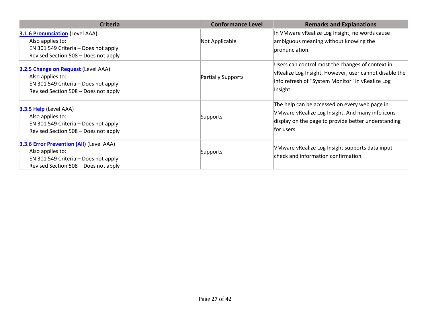| <b>Criteria</b>                                                                                                                                     | <b>Conformance Level</b> | <b>Remarks and Explanations</b>                                                                                                                                            |
|-----------------------------------------------------------------------------------------------------------------------------------------------------|--------------------------|----------------------------------------------------------------------------------------------------------------------------------------------------------------------------|
| <b>3.1.6 Pronunciation (Level AAA)</b><br>Also applies to:<br>EN 301 549 Criteria - Does not apply<br>Revised Section 508 - Does not apply          | Not Applicable           | In VMware vRealize Log Insight, no words cause<br>ambiguous meaning without knowing the<br>pronunciation.                                                                  |
| 3.2.5 Change on Request (Level AAA)<br>Also applies to:<br>EN 301 549 Criteria – Does not apply<br>Revised Section 508 - Does not apply             | Partially Supports       | Users can control most the changes of context in<br>vRealize Log Insight. However, user cannot disable the<br>info refresh of "System Monitor" in vRealize Log<br>Insight. |
| 3.3.5 Help (Level AAA)<br>Also applies to:<br>EN 301 549 Criteria - Does not apply<br>Revised Section 508 - Does not apply                          | Supports                 | The help can be accessed on every web page in<br>VMware vRealize Log Insight. And many info icons<br>display on the page to provide better understanding<br>for users.     |
| <b>3.3.6 Error Prevention (All)</b> (Level AAA)<br>Also applies to:<br>EN 301 549 Criteria – Does not apply<br>Revised Section 508 - Does not apply | Supports                 | VMware vRealize Log Insight supports data input<br>check and information confirmation.                                                                                     |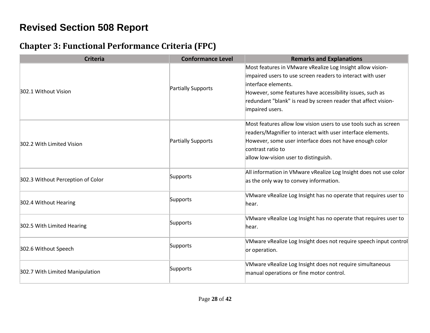# **Revised Section 508 Report**

## **Chapter 3: Functional Performance Criteria (FPC)**

| <b>Criteria</b>                   | <b>Conformance Level</b> | <b>Remarks and Explanations</b>                                                                                                                                                                                                                                                                   |
|-----------------------------------|--------------------------|---------------------------------------------------------------------------------------------------------------------------------------------------------------------------------------------------------------------------------------------------------------------------------------------------|
| 302.1 Without Vision              | Partially Supports       | Most features in VMware vRealize Log Insight allow vision-<br>impaired users to use screen readers to interact with user<br>interface elements.<br>However, some features have accessibility issues, such as<br>redundant "blank" is read by screen reader that affect vision-<br>impaired users. |
| 302.2 With Limited Vision         | Partially Supports       | Most features allow low vision users to use tools such as screen<br>readers/Magnifier to interact with user interface elements.<br>However, some user interface does not have enough color<br>contrast ratio to<br>allow low-vision user to distinguish.                                          |
| 302.3 Without Perception of Color | Supports                 | All information in VMware vRealize Log Insight does not use color<br>as the only way to convey information.                                                                                                                                                                                       |
| 302.4 Without Hearing             | Supports                 | VMware vRealize Log Insight has no operate that requires user to<br>hear.                                                                                                                                                                                                                         |
| 302.5 With Limited Hearing        | Supports                 | VMware vRealize Log Insight has no operate that requires user to<br>hear.                                                                                                                                                                                                                         |
| 302.6 Without Speech              | Supports                 | VMware vRealize Log Insight does not require speech input control<br>or operation.                                                                                                                                                                                                                |
| 302.7 With Limited Manipulation   | Supports                 | VMware vRealize Log Insight does not require simultaneous<br>manual operations or fine motor control.                                                                                                                                                                                             |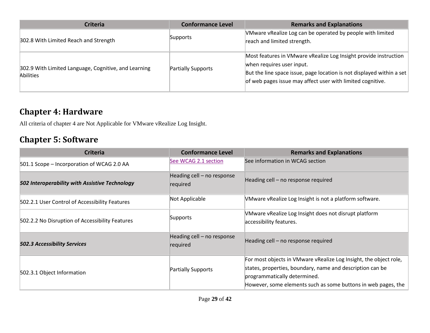| <b>Criteria</b>                                                   | <b>Conformance Level</b> | <b>Remarks and Explanations</b>                                                                                                                                                                                                      |
|-------------------------------------------------------------------|--------------------------|--------------------------------------------------------------------------------------------------------------------------------------------------------------------------------------------------------------------------------------|
| 302.8 With Limited Reach and Strength                             | Supports                 | VMware vRealize Log can be operated by people with limited<br>reach and limited strength.                                                                                                                                            |
| 302.9 With Limited Language, Cognitive, and Learning<br>Abilities | Partially Supports       | Most features in VMware vRealize Log Insight provide instruction<br>when requires user input.<br>But the line space issue, page location is not displayed within a set<br>of web pages issue may affect user with limited cognitive. |

#### **Chapter 4: Hardware**

All criteria of chapter 4 are Not Applicable for VMware vRealize Log Insight.

## **Chapter 5: Software**

| <b>Criteria</b>                                 | <b>Conformance Level</b>               | <b>Remarks and Explanations</b>                                                                                                                                                                                                 |
|-------------------------------------------------|----------------------------------------|---------------------------------------------------------------------------------------------------------------------------------------------------------------------------------------------------------------------------------|
| 501.1 Scope - Incorporation of WCAG 2.0 AA      | See WCAG 2.1 section                   | See information in WCAG section                                                                                                                                                                                                 |
| 502 Interoperability with Assistive Technology  | Heading cell - no response<br>required | Heading cell - no response required                                                                                                                                                                                             |
| 502.2.1 User Control of Accessibility Features  | Not Applicable                         | VMware vRealize Log Insight is not a platform software.                                                                                                                                                                         |
| 502.2.2 No Disruption of Accessibility Features | Supports                               | VMware vRealize Log Insight does not disrupt platform<br>accessibility features.                                                                                                                                                |
| <b>502.3 Accessibility Services</b>             | Heading cell - no response<br>required | Heading cell - no response required                                                                                                                                                                                             |
| 502.3.1 Object Information                      | Partially Supports                     | For most objects in VMware vRealize Log Insight, the object role,<br>states, properties, boundary, name and description can be<br>programmatically determined.<br>However, some elements such as some buttons in web pages, the |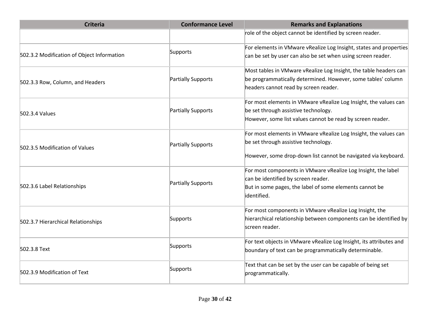| <b>Criteria</b>                            | <b>Conformance Level</b> | <b>Remarks and Explanations</b>                                                                                                                                                |
|--------------------------------------------|--------------------------|--------------------------------------------------------------------------------------------------------------------------------------------------------------------------------|
|                                            |                          | role of the object cannot be identified by screen reader.                                                                                                                      |
| 502.3.2 Modification of Object Information | Supports                 | For elements in VMware vRealize Log Insight, states and properties<br>can be set by user can also be set when using screen reader.                                             |
| 502.3.3 Row, Column, and Headers           | Partially Supports       | Most tables in VMware vRealize Log Insight, the table headers can<br>be programmatically determined. However, some tables' column<br>headers cannot read by screen reader.     |
| 502.3.4 Values                             | Partially Supports       | For most elements in VMware vRealize Log Insight, the values can<br>be set through assistive technology.<br>However, some list values cannot be read by screen reader.         |
| 502.3.5 Modification of Values             | Partially Supports       | For most elements in VMware vRealize Log Insight, the values can<br>be set through assistive technology.<br>However, some drop-down list cannot be navigated via keyboard.     |
| 502.3.6 Label Relationships                | Partially Supports       | For most components in VMware vRealize Log Insight, the label<br>can be identified by screen reader.<br>But in some pages, the label of some elements cannot be<br>identified. |
| 502.3.7 Hierarchical Relationships         | Supports                 | For most components in VMware vRealize Log Insight, the<br>hierarchical relationship between components can be identified by<br>screen reader.                                 |
| 502.3.8 Text                               | Supports                 | For text objects in VMware vRealize Log Insight, its attributes and<br>boundary of text can be programmatically determinable.                                                  |
| 502.3.9 Modification of Text               | Supports                 | Text that can be set by the user can be capable of being set<br>programmatically.                                                                                              |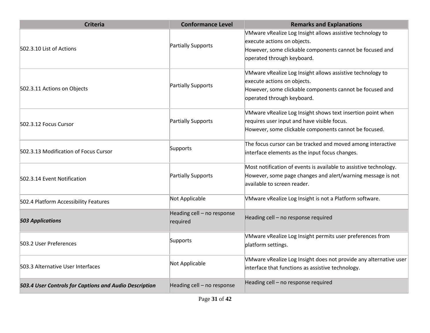| <b>Criteria</b>                                        | <b>Conformance Level</b>               | <b>Remarks and Explanations</b>                                                                                                                                                     |
|--------------------------------------------------------|----------------------------------------|-------------------------------------------------------------------------------------------------------------------------------------------------------------------------------------|
| 502.3.10 List of Actions                               | Partially Supports                     | VMware vRealize Log Insight allows assistive technology to<br>execute actions on objects.<br>However, some clickable components cannot be focused and<br>operated through keyboard. |
| 502.3.11 Actions on Objects                            | Partially Supports                     | VMware vRealize Log Insight allows assistive technology to<br>execute actions on objects.<br>However, some clickable components cannot be focused and<br>operated through keyboard. |
| 502.3.12 Focus Cursor                                  | Partially Supports                     | VMware vRealize Log Insight shows text insertion point when<br>requires user input and have visible focus.<br>However, some clickable components cannot be focused.                 |
| 502.3.13 Modification of Focus Cursor                  | Supports                               | The focus cursor can be tracked and moved among interactive<br>interface elements as the input focus changes.                                                                       |
| 502.3.14 Event Notification                            | Partially Supports                     | Most notification of events is available to assistive technology.<br>However, some page changes and alert/warning message is not<br>available to screen reader.                     |
| 502.4 Platform Accessibility Features                  | Not Applicable                         | VMware vRealize Log Insight is not a Platform software.                                                                                                                             |
| <b>503 Applications</b>                                | Heading cell - no response<br>required | Heading cell - no response required                                                                                                                                                 |
| 503.2 User Preferences                                 | Supports                               | VMware vRealize Log Insight permits user preferences from<br>platform settings.                                                                                                     |
| 503.3 Alternative User Interfaces                      | Not Applicable                         | VMware vRealize Log Insight does not provide any alternative user<br>interface that functions as assistive technology.                                                              |
| 503.4 User Controls for Captions and Audio Description | Heading cell - no response             | Heading cell - no response required                                                                                                                                                 |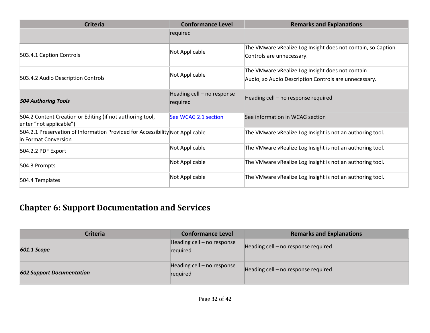| <b>Criteria</b>                                                                                       | <b>Conformance Level</b>               | <b>Remarks and Explanations</b>                                                                           |
|-------------------------------------------------------------------------------------------------------|----------------------------------------|-----------------------------------------------------------------------------------------------------------|
|                                                                                                       | required                               |                                                                                                           |
| 503.4.1 Caption Controls                                                                              | Not Applicable                         | The VMware vRealize Log Insight does not contain, so Caption<br>Controls are unnecessary.                 |
| 503.4.2 Audio Description Controls                                                                    | Not Applicable                         | The VMware vRealize Log Insight does not contain<br>Audio, so Audio Description Controls are unnecessary. |
| <b>504 Authoring Tools</b>                                                                            | Heading cell - no response<br>required | Heading cell - no response required                                                                       |
| 504.2 Content Creation or Editing (if not authoring tool,<br>enter "not applicable")                  | See WCAG 2.1 section                   | See information in WCAG section                                                                           |
| 504.2.1 Preservation of Information Provided for Accessibility Not Applicable<br>in Format Conversion |                                        | The VMware vRealize Log Insight is not an authoring tool.                                                 |
| 504.2.2 PDF Export                                                                                    | Not Applicable                         | The VMware vRealize Log Insight is not an authoring tool.                                                 |
| 504.3 Prompts                                                                                         | Not Applicable                         | The VMware vRealize Log Insight is not an authoring tool.                                                 |
| 504.4 Templates                                                                                       | Not Applicable                         | The VMware vRealize Log Insight is not an authoring tool.                                                 |

# **Chapter 6: Support Documentation and Services**

| <b>Criteria</b>                  | <b>Conformance Level</b>               | <b>Remarks and Explanations</b>     |
|----------------------------------|----------------------------------------|-------------------------------------|
| 601.1 Scope                      | Heading cell - no response<br>required | Heading cell – no response required |
| <b>602 Support Documentation</b> | Heading cell - no response<br>required | Heading cell – no response required |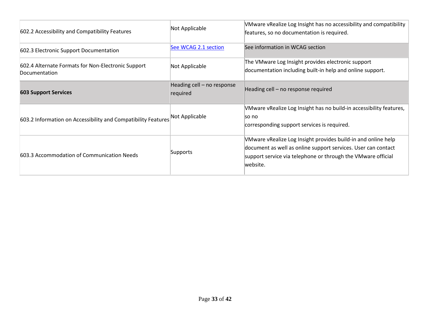| 602.2 Accessibility and Compatibility Features                      | Not Applicable                         | VMware vRealize Log Insight has no accessibility and compatibility<br>features, so no documentation is required.                                                                                           |
|---------------------------------------------------------------------|----------------------------------------|------------------------------------------------------------------------------------------------------------------------------------------------------------------------------------------------------------|
| 602.3 Electronic Support Documentation                              | See WCAG 2.1 section                   | See information in WCAG section                                                                                                                                                                            |
| 602.4 Alternate Formats for Non-Electronic Support<br>Documentation | Not Applicable                         | The VMware Log Insight provides electronic support<br>documentation including built-in help and online support.                                                                                            |
| <b>603 Support Services</b>                                         | Heading cell - no response<br>required | Heading cell - no response required                                                                                                                                                                        |
| 603.2 Information on Accessibility and Compatibility Features       | Not Applicable                         | VMware vRealize Log Insight has no build-in accessibility features,<br>lso no<br>corresponding support services is required.                                                                               |
| 603.3 Accommodation of Communication Needs                          | Supports                               | VMware vRealize Log Insight provides build-in and online help<br>document as well as online support services. User can contact<br>support service via telephone or through the VMware official<br>website. |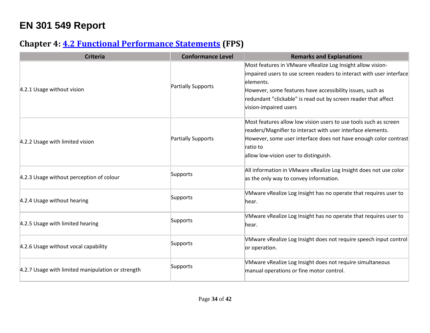# **EN 301 549 Report**

## **Chapter 4: [4.2 Functional Performance Statements](http://www.etsi.org/deliver/etsi_en/301500_301599/301549/01.01.02_60/en_301549v010102p.pdf#page=22) (FPS)**

| <b>Criteria</b>                                   | <b>Conformance Level</b> | <b>Remarks and Explanations</b>                                                                                                                                                                                                                                                                         |
|---------------------------------------------------|--------------------------|---------------------------------------------------------------------------------------------------------------------------------------------------------------------------------------------------------------------------------------------------------------------------------------------------------|
| 4.2.1 Usage without vision                        | Partially Supports       | Most features in VMware vRealize Log Insight allow vision-<br>impaired users to use screen readers to interact with user interface<br>elements.<br>However, some features have accessibility issues, such as<br>redundant "clickable" is read out by screen reader that affect<br>vision-impaired users |
| 4.2.2 Usage with limited vision                   | Partially Supports       | Most features allow low vision users to use tools such as screen<br>readers/Magnifier to interact with user interface elements.<br>However, some user interface does not have enough color contrast<br>Iratio to<br>allow low-vision user to distinguish.                                               |
| 4.2.3 Usage without perception of colour          | Supports                 | All information in VMware vRealize Log Insight does not use color<br>as the only way to convey information.                                                                                                                                                                                             |
| 4.2.4 Usage without hearing                       | Supports                 | VMware vRealize Log Insight has no operate that requires user to<br>hear.                                                                                                                                                                                                                               |
| 4.2.5 Usage with limited hearing                  | Supports                 | VMware vRealize Log Insight has no operate that requires user to<br>lhear.                                                                                                                                                                                                                              |
| 4.2.6 Usage without vocal capability              | Supports                 | VMware vRealize Log Insight does not require speech input control<br>or operation.                                                                                                                                                                                                                      |
| 4.2.7 Usage with limited manipulation or strength | Supports                 | VMware vRealize Log Insight does not require simultaneous<br>manual operations or fine motor control.                                                                                                                                                                                                   |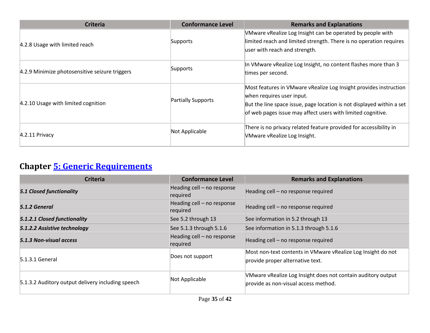| <b>Criteria</b>                                | <b>Conformance Level</b> | <b>Remarks and Explanations</b>                                                                     |
|------------------------------------------------|--------------------------|-----------------------------------------------------------------------------------------------------|
| 4.2.8 Usage with limited reach                 | Supports                 | VMware vRealize Log Insight can be operated by people with                                          |
|                                                |                          | limited reach and limited strength. There is no operation requires<br>user with reach and strength. |
|                                                |                          |                                                                                                     |
|                                                | Supports                 | In VMware vRealize Log Insight, no content flashes more than 3                                      |
| 4.2.9 Minimize photosensitive seizure triggers |                          | times per second.                                                                                   |
| 4.2.10 Usage with limited cognition            | Partially Supports       | Most features in VMware vRealize Log Insight provides instruction                                   |
|                                                |                          | when requires user input.                                                                           |
|                                                |                          | But the line space issue, page location is not displayed within a set                               |
|                                                |                          | of web pages issue may affect users with limited cognitive.                                         |
| $4.2.11$ Privacy                               | Not Applicable           | There is no privacy related feature provided for accessibility in                                   |
|                                                |                          | VMware vRealize Log Insight.                                                                        |

# **Chapter [5: Generic Requirements](http://www.etsi.org/deliver/etsi_en/301500_301599/301549/01.01.02_60/en_301549v010102p.pdf#page=23)**

| <b>Criteria</b>                                   | <b>Conformance Level</b>               | <b>Remarks and Explanations</b>                                                                      |
|---------------------------------------------------|----------------------------------------|------------------------------------------------------------------------------------------------------|
| <b>5.1 Closed functionality</b>                   | Heading cell - no response<br>required | Heading cell – no response required                                                                  |
| 5.1.2 General                                     | Heading cell - no response<br>required | Heading cell - no response required                                                                  |
| 5.1.2.1 Closed functionality                      | See 5.2 through 13                     | See information in 5.2 through 13                                                                    |
| 5.1.2.2 Assistive technology                      | See 5.1.3 through 5.1.6                | See information in 5.1.3 through 5.1.6                                                               |
| 5.1.3 Non-visual access                           | Heading cell - no response<br>required | Heading cell – no response required                                                                  |
| 5.1.3.1 General                                   | Does not support                       | Most non-text contents in VMware vRealize Log Insight do not<br>provide proper alternative text.     |
| 5.1.3.2 Auditory output delivery including speech | Not Applicable                         | VMware vRealize Log Insight does not contain auditory output<br>provide as non-visual access method. |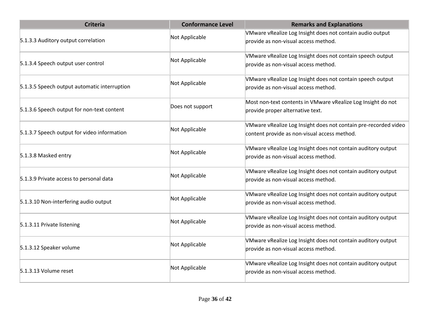| <b>Criteria</b>                              | <b>Conformance Level</b> | <b>Remarks and Explanations</b>                                                                                 |
|----------------------------------------------|--------------------------|-----------------------------------------------------------------------------------------------------------------|
| 5.1.3.3 Auditory output correlation          | Not Applicable           | VMware vRealize Log Insight does not contain audio output<br>provide as non-visual access method.               |
|                                              |                          |                                                                                                                 |
| 5.1.3.4 Speech output user control           | Not Applicable           | VMware vRealize Log Insight does not contain speech output<br>provide as non-visual access method.              |
| 5.1.3.5 Speech output automatic interruption | Not Applicable           | VMware vRealize Log Insight does not contain speech output<br>provide as non-visual access method.              |
| 5.1.3.6 Speech output for non-text content   | Does not support         | Most non-text contents in VMware vRealize Log Insight do not<br>provide proper alternative text.                |
| 5.1.3.7 Speech output for video information  | Not Applicable           | VMware vRealize Log Insight does not contain pre-recorded video<br>content provide as non-visual access method. |
| 5.1.3.8 Masked entry                         | Not Applicable           | VMware vRealize Log Insight does not contain auditory output<br>provide as non-visual access method.            |
| 5.1.3.9 Private access to personal data      | Not Applicable           | VMware vRealize Log Insight does not contain auditory output<br>provide as non-visual access method.            |
| 5.1.3.10 Non-interfering audio output        | Not Applicable           | VMware vRealize Log Insight does not contain auditory output<br>provide as non-visual access method.            |
| 5.1.3.11 Private listening                   | Not Applicable           | VMware vRealize Log Insight does not contain auditory output<br>provide as non-visual access method.            |
| 5.1.3.12 Speaker volume                      | Not Applicable           | VMware vRealize Log Insight does not contain auditory output<br>provide as non-visual access method.            |
| 5.1.3.13 Volume reset                        | Not Applicable           | VMware vRealize Log Insight does not contain auditory output<br>provide as non-visual access method.            |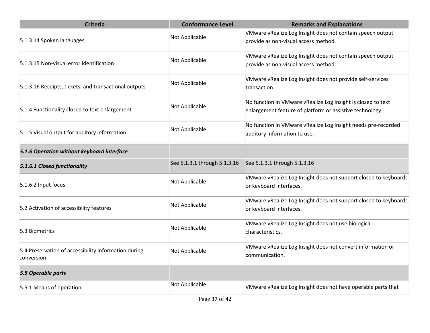| <b>Criteria</b>                                                    | <b>Conformance Level</b>     | <b>Remarks and Explanations</b>                                                                                          |
|--------------------------------------------------------------------|------------------------------|--------------------------------------------------------------------------------------------------------------------------|
| 5.1.3.14 Spoken languages                                          | Not Applicable               | VMware vRealize Log Insight does not contain speech output<br>provide as non-visual access method.                       |
| 5.1.3.15 Non-visual error identification                           | Not Applicable               | VMware vRealize Log Insight does not contain speech output<br>provide as non-visual access method.                       |
| 5.1.3.16 Receipts, tickets, and transactional outputs              | Not Applicable               | VMware vRealize Log Insight does not provide self-services<br>transaction.                                               |
| 5.1.4 Functionality closed to text enlargement                     | Not Applicable               | No function in VMware vRealize Log Insight is closed to text<br>enlargement feature of platform or assistive technology. |
| 5.1.5 Visual output for auditory information                       | Not Applicable               | No function in VMware vRealize Log Insight needs pre-recorded<br>auditory information to use.                            |
| 5.1.6 Operation without keyboard interface                         |                              |                                                                                                                          |
| 5.1.6.1 Closed functionality                                       | See 5.1.3.1 through 5.1.3.16 | See 5.1.3.1 through 5.1.3.16                                                                                             |
| 5.1.6.2 Input focus                                                | Not Applicable               | VMware vRealize Log Insight does not support closed to keyboards<br>or keyboard interfaces.                              |
| 5.2 Activation of accessibility features                           | Not Applicable               | VMware vRealize Log Insight does not support closed to keyboards<br>or keyboard interfaces.                              |
| 5.3 Biometrics                                                     | Not Applicable               | VMware vRealize Log Insight does not use biological<br>characteristics.                                                  |
| 5.4 Preservation of accessibility information during<br>conversion | Not Applicable               | VMware vRealize Log Insight does not convert information or<br>communication.                                            |
| 5.5 Operable parts                                                 |                              |                                                                                                                          |
| 5.5.1 Means of operation                                           | Not Applicable               | VMware vRealize Log Insight does not have operable parts that                                                            |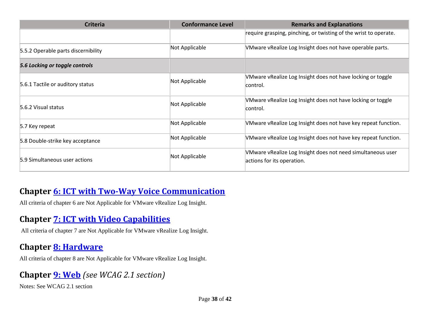| <b>Criteria</b>                     | <b>Conformance Level</b> | <b>Remarks and Explanations</b>                                                           |
|-------------------------------------|--------------------------|-------------------------------------------------------------------------------------------|
|                                     |                          | require grasping, pinching, or twisting of the wrist to operate.                          |
| 5.5.2 Operable parts discernibility | Not Applicable           | VMware vRealize Log Insight does not have operable parts.                                 |
| 5.6 Locking or toggle controls      |                          |                                                                                           |
| 5.6.1 Tactile or auditory status    | Not Applicable           | VMware vRealize Log Insight does not have locking or toggle<br>control.                   |
| 5.6.2 Visual status                 | Not Applicable           | VMware vRealize Log Insight does not have locking or toggle<br>control.                   |
| 5.7 Key repeat                      | Not Applicable           | VMware vRealize Log Insight does not have key repeat function.                            |
| 5.8 Double-strike key acceptance    | Not Applicable           | VMware vRealize Log Insight does not have key repeat function.                            |
| 5.9 Simultaneous user actions       | Not Applicable           | VMware vRealize Log Insight does not need simultaneous user<br>actions for its operation. |

#### **Chapter [6: ICT with Two-Way Voice Communication](http://www.etsi.org/deliver/etsi_en/301500_301599/301549/01.01.02_60/en_301549v010102p.pdf#page=28)**

All criteria of chapter 6 are Not Applicable for VMware vRealize Log Insight.

## **Chapter [7: ICT with Video Capabilities](http://www.etsi.org/deliver/etsi_en/301500_301599/301549/01.01.02_60/en_301549v010102p.pdf#page=31)**

All criteria of chapter 7 are Not Applicable for VMware vRealize Log Insight.

#### **Chapter [8: Hardware](http://www.etsi.org/deliver/etsi_en/301500_301599/301549/01.01.02_60/en_301549v010102p.pdf#page=32)**

All criteria of chapter 8 are Not Applicable for VMware vRealize Log Insight.

## **Chapter [9: Web](http://www.etsi.org/deliver/etsi_en/301500_301599/301549/01.01.02_60/en_301549v010102p.pdf#page=39)** *(see WCAG 2.1 section)*

Notes: See WCAG 2.1 section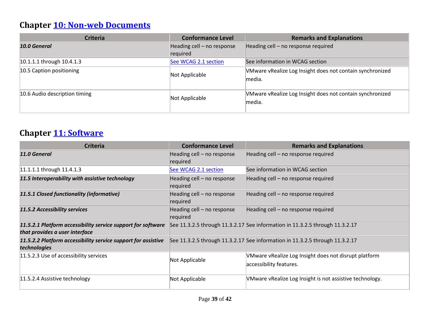# **Chapter [10: Non-web Documents](http://www.etsi.org/deliver/etsi_en/301500_301599/301549/01.01.02_60/en_301549v010102p.pdf#page=43)**

| <b>Criteria</b>               | <b>Conformance Level</b>               | <b>Remarks and Explanations</b>                                     |
|-------------------------------|----------------------------------------|---------------------------------------------------------------------|
| 10.0 General                  | Heading cell - no response<br>required | Heading cell - no response required                                 |
| 10.1.1.1 through 10.4.1.3     | See WCAG 2.1 section                   | See information in WCAG section                                     |
| 10.5 Caption positioning      | Not Applicable                         | VMware vRealize Log Insight does not contain synchronized<br>media. |
| 10.6 Audio description timing | Not Applicable                         | VMware vRealize Log Insight does not contain synchronized<br>media. |

## **Chapter [11: Software](http://www.etsi.org/deliver/etsi_en/301500_301599/301549/01.01.02_60/en_301549v010102p.pdf#page=53)**

| <b>Criteria</b>                                                                                | <b>Conformance Level</b>               | <b>Remarks and Explanations</b>                                                  |
|------------------------------------------------------------------------------------------------|----------------------------------------|----------------------------------------------------------------------------------|
| 11.0 General                                                                                   | Heading cell - no response<br>required | Heading cell - no response required                                              |
| 11.1.1.1 through 11.4.1.3                                                                      | See WCAG 2.1 section                   | See information in WCAG section                                                  |
| 11.5 Interoperability with assistive technology                                                | Heading cell - no response<br>required | Heading cell - no response required                                              |
| 11.5.1 Closed functionality (informative)                                                      | Heading cell - no response<br>required | Heading cell - no response required                                              |
| 11.5.2 Accessibility services                                                                  | Heading cell - no response<br>required | Heading cell - no response required                                              |
| 11.5.2.1 Platform accessibility service support for software<br>that provides a user interface |                                        | See 11.3.2.5 through 11.3.2.17 See information in 11.3.2.5 through 11.3.2.17     |
| 11.5.2.2 Platform accessibility service support for assistive<br>technologies                  |                                        | See 11.3.2.5 through 11.3.2.17 See information in 11.3.2.5 through 11.3.2.17     |
| 11.5.2.3 Use of accessibility services                                                         | Not Applicable                         | VMware vRealize Log Insight does not disrupt platform<br>accessibility features. |
| 11.5.2.4 Assistive technology                                                                  | Not Applicable                         | VMware vRealize Log Insight is not assistive technology.                         |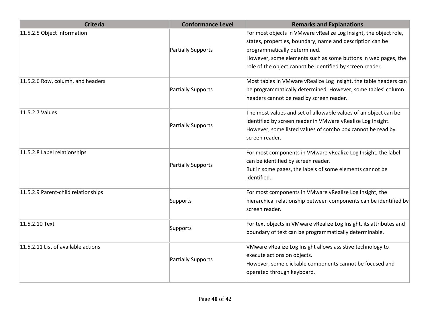| <b>Criteria</b>                     | <b>Conformance Level</b> | <b>Remarks and Explanations</b>                                                                                                                                                                                |
|-------------------------------------|--------------------------|----------------------------------------------------------------------------------------------------------------------------------------------------------------------------------------------------------------|
| 11.5.2.5 Object information         | Partially Supports       | For most objects in VMware vRealize Log Insight, the object role,<br>states, properties, boundary, name and description can be<br>programmatically determined.                                                 |
|                                     |                          | However, some elements such as some buttons in web pages, the<br>role of the object cannot be identified by screen reader.                                                                                     |
| 11.5.2.6 Row, column, and headers   | Partially Supports       | Most tables in VMware vRealize Log Insight, the table headers can<br>be programmatically determined. However, some tables' column<br>headers cannot be read by screen reader.                                  |
| 11.5.2.7 Values                     | Partially Supports       | The most values and set of allowable values of an object can be<br>identified by screen reader in VMware vRealize Log Insight.<br>However, some listed values of combo box cannot be read by<br>screen reader. |
| 11.5.2.8 Label relationships        | Partially Supports       | For most components in VMware vRealize Log Insight, the label<br>can be identified by screen reader.<br>But in some pages, the labels of some elements cannot be<br>identified.                                |
| 11.5.2.9 Parent-child relationships | Supports                 | For most components in VMware vRealize Log Insight, the<br>hierarchical relationship between components can be identified by<br>screen reader.                                                                 |
| 11.5.2.10 Text                      | Supports                 | For text objects in VMware vRealize Log Insight, its attributes and<br>boundary of text can be programmatically determinable.                                                                                  |
| 11.5.2.11 List of available actions | Partially Supports       | VMware vRealize Log Insight allows assistive technology to<br>execute actions on objects.<br>However, some clickable components cannot be focused and<br>operated through keyboard.                            |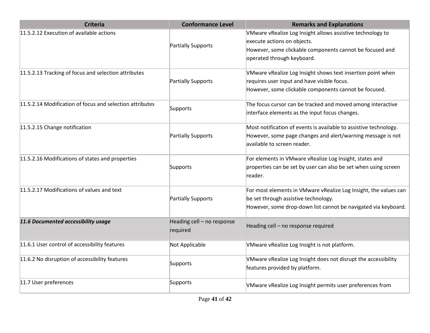| VMware vRealize Log Insight allows assistive technology to<br>execute actions on objects.<br>Partially Supports<br>However, some clickable components cannot be focused and<br>operated through keyboard.<br>VMware vRealize Log Insight shows text insertion point when<br>requires user input and have visible focus.<br>Partially Supports<br>However, some clickable components cannot be focused.<br>The focus cursor can be tracked and moved among interactive<br>Supports<br>interface elements as the input focus changes.<br>Most notification of events is available to assistive technology.<br>However, some page changes and alert/warning message is not<br>Partially Supports<br>available to screen reader.<br>For elements in VMware vRealize Log Insight, states and<br>properties can be set by user can also be set when using screen<br>Supports<br>reader.<br>For most elements in VMware vRealize Log Insight, the values can<br>be set through assistive technology.<br>Partially Supports<br>However, some drop-down list cannot be navigated via keyboard.<br>Heading cell - no response<br>Heading cell - no response required<br>required<br>Not Applicable<br>VMware vRealize Log Insight is not platform.<br>11.6.2 No disruption of accessibility features<br>VMware vRealize Log Insight does not disrupt the accessibility<br>Supports<br>features provided by platform.<br>Supports<br>VMware vRealize Log Insight permits user preferences from | <b>Criteria</b>                                          | <b>Conformance Level</b> | <b>Remarks and Explanations</b> |
|-------------------------------------------------------------------------------------------------------------------------------------------------------------------------------------------------------------------------------------------------------------------------------------------------------------------------------------------------------------------------------------------------------------------------------------------------------------------------------------------------------------------------------------------------------------------------------------------------------------------------------------------------------------------------------------------------------------------------------------------------------------------------------------------------------------------------------------------------------------------------------------------------------------------------------------------------------------------------------------------------------------------------------------------------------------------------------------------------------------------------------------------------------------------------------------------------------------------------------------------------------------------------------------------------------------------------------------------------------------------------------------------------------------------------------------------------------------------------------------|----------------------------------------------------------|--------------------------|---------------------------------|
|                                                                                                                                                                                                                                                                                                                                                                                                                                                                                                                                                                                                                                                                                                                                                                                                                                                                                                                                                                                                                                                                                                                                                                                                                                                                                                                                                                                                                                                                                     | 11.5.2.12 Execution of available actions                 |                          |                                 |
|                                                                                                                                                                                                                                                                                                                                                                                                                                                                                                                                                                                                                                                                                                                                                                                                                                                                                                                                                                                                                                                                                                                                                                                                                                                                                                                                                                                                                                                                                     |                                                          |                          |                                 |
|                                                                                                                                                                                                                                                                                                                                                                                                                                                                                                                                                                                                                                                                                                                                                                                                                                                                                                                                                                                                                                                                                                                                                                                                                                                                                                                                                                                                                                                                                     |                                                          |                          |                                 |
|                                                                                                                                                                                                                                                                                                                                                                                                                                                                                                                                                                                                                                                                                                                                                                                                                                                                                                                                                                                                                                                                                                                                                                                                                                                                                                                                                                                                                                                                                     |                                                          |                          |                                 |
|                                                                                                                                                                                                                                                                                                                                                                                                                                                                                                                                                                                                                                                                                                                                                                                                                                                                                                                                                                                                                                                                                                                                                                                                                                                                                                                                                                                                                                                                                     | 11.5.2.13 Tracking of focus and selection attributes     |                          |                                 |
|                                                                                                                                                                                                                                                                                                                                                                                                                                                                                                                                                                                                                                                                                                                                                                                                                                                                                                                                                                                                                                                                                                                                                                                                                                                                                                                                                                                                                                                                                     |                                                          |                          |                                 |
|                                                                                                                                                                                                                                                                                                                                                                                                                                                                                                                                                                                                                                                                                                                                                                                                                                                                                                                                                                                                                                                                                                                                                                                                                                                                                                                                                                                                                                                                                     |                                                          |                          |                                 |
|                                                                                                                                                                                                                                                                                                                                                                                                                                                                                                                                                                                                                                                                                                                                                                                                                                                                                                                                                                                                                                                                                                                                                                                                                                                                                                                                                                                                                                                                                     | 11.5.2.14 Modification of focus and selection attributes |                          |                                 |
|                                                                                                                                                                                                                                                                                                                                                                                                                                                                                                                                                                                                                                                                                                                                                                                                                                                                                                                                                                                                                                                                                                                                                                                                                                                                                                                                                                                                                                                                                     |                                                          |                          |                                 |
|                                                                                                                                                                                                                                                                                                                                                                                                                                                                                                                                                                                                                                                                                                                                                                                                                                                                                                                                                                                                                                                                                                                                                                                                                                                                                                                                                                                                                                                                                     | 11.5.2.15 Change notification                            |                          |                                 |
|                                                                                                                                                                                                                                                                                                                                                                                                                                                                                                                                                                                                                                                                                                                                                                                                                                                                                                                                                                                                                                                                                                                                                                                                                                                                                                                                                                                                                                                                                     |                                                          |                          |                                 |
|                                                                                                                                                                                                                                                                                                                                                                                                                                                                                                                                                                                                                                                                                                                                                                                                                                                                                                                                                                                                                                                                                                                                                                                                                                                                                                                                                                                                                                                                                     |                                                          |                          |                                 |
|                                                                                                                                                                                                                                                                                                                                                                                                                                                                                                                                                                                                                                                                                                                                                                                                                                                                                                                                                                                                                                                                                                                                                                                                                                                                                                                                                                                                                                                                                     | 11.5.2.16 Modifications of states and properties         |                          |                                 |
|                                                                                                                                                                                                                                                                                                                                                                                                                                                                                                                                                                                                                                                                                                                                                                                                                                                                                                                                                                                                                                                                                                                                                                                                                                                                                                                                                                                                                                                                                     |                                                          |                          |                                 |
|                                                                                                                                                                                                                                                                                                                                                                                                                                                                                                                                                                                                                                                                                                                                                                                                                                                                                                                                                                                                                                                                                                                                                                                                                                                                                                                                                                                                                                                                                     |                                                          |                          |                                 |
|                                                                                                                                                                                                                                                                                                                                                                                                                                                                                                                                                                                                                                                                                                                                                                                                                                                                                                                                                                                                                                                                                                                                                                                                                                                                                                                                                                                                                                                                                     | 11.5.2.17 Modifications of values and text               |                          |                                 |
|                                                                                                                                                                                                                                                                                                                                                                                                                                                                                                                                                                                                                                                                                                                                                                                                                                                                                                                                                                                                                                                                                                                                                                                                                                                                                                                                                                                                                                                                                     |                                                          |                          |                                 |
|                                                                                                                                                                                                                                                                                                                                                                                                                                                                                                                                                                                                                                                                                                                                                                                                                                                                                                                                                                                                                                                                                                                                                                                                                                                                                                                                                                                                                                                                                     |                                                          |                          |                                 |
|                                                                                                                                                                                                                                                                                                                                                                                                                                                                                                                                                                                                                                                                                                                                                                                                                                                                                                                                                                                                                                                                                                                                                                                                                                                                                                                                                                                                                                                                                     | 11.6 Documented accessibility usage                      |                          |                                 |
|                                                                                                                                                                                                                                                                                                                                                                                                                                                                                                                                                                                                                                                                                                                                                                                                                                                                                                                                                                                                                                                                                                                                                                                                                                                                                                                                                                                                                                                                                     |                                                          |                          |                                 |
|                                                                                                                                                                                                                                                                                                                                                                                                                                                                                                                                                                                                                                                                                                                                                                                                                                                                                                                                                                                                                                                                                                                                                                                                                                                                                                                                                                                                                                                                                     | 11.6.1 User control of accessibility features            |                          |                                 |
|                                                                                                                                                                                                                                                                                                                                                                                                                                                                                                                                                                                                                                                                                                                                                                                                                                                                                                                                                                                                                                                                                                                                                                                                                                                                                                                                                                                                                                                                                     |                                                          |                          |                                 |
|                                                                                                                                                                                                                                                                                                                                                                                                                                                                                                                                                                                                                                                                                                                                                                                                                                                                                                                                                                                                                                                                                                                                                                                                                                                                                                                                                                                                                                                                                     |                                                          |                          |                                 |
|                                                                                                                                                                                                                                                                                                                                                                                                                                                                                                                                                                                                                                                                                                                                                                                                                                                                                                                                                                                                                                                                                                                                                                                                                                                                                                                                                                                                                                                                                     | 11.7 User preferences                                    |                          |                                 |